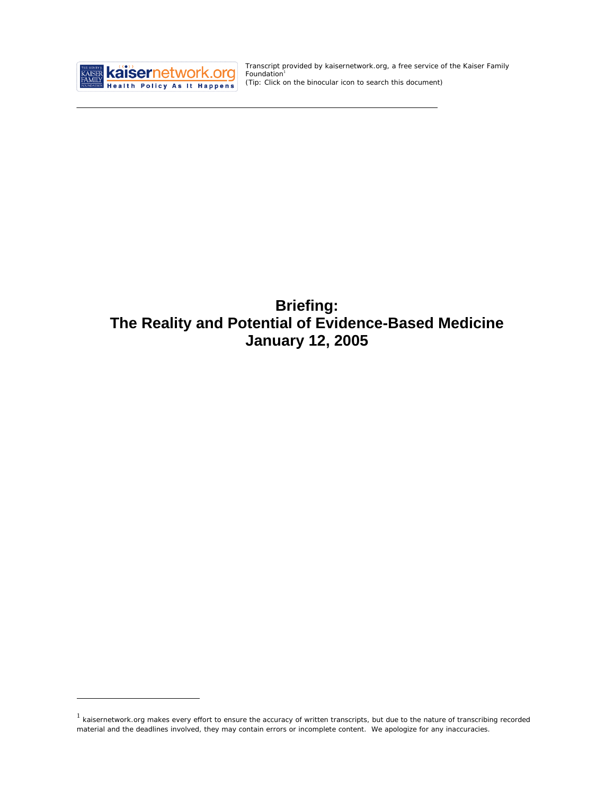

 $\overline{a}$ 

Transcript provided by kaisernetwork.org, a free service of the Kaiser Family Foundation<sup>1</sup> *(Tip: Click on the binocular icon to search this document)* 

# **Briefing: The Reality and Potential of Evidence-Based Medicine January 12, 2005**

 $1$  kaisernetwork.org makes every effort to ensure the accuracy of written transcripts, but due to the nature of transcribing recorded material and the deadlines involved, they may contain errors or incomplete content. We apologize for any inaccuracies.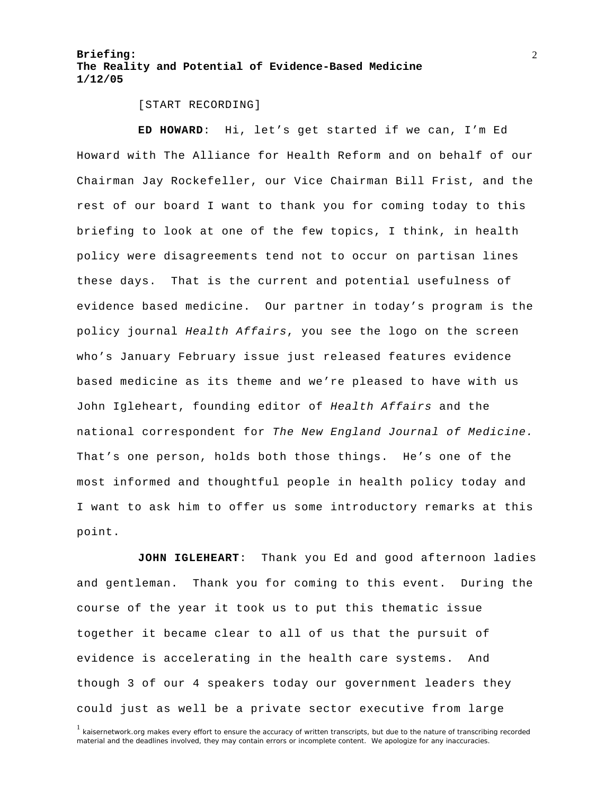[START RECORDING]

**ED HOWARD**: Hi, let's get started if we can, I'm Ed Howard with The Alliance for Health Reform and on behalf of our Chairman Jay Rockefeller, our Vice Chairman Bill Frist, and the rest of our board I want to thank you for coming today to this briefing to look at one of the few topics, I think, in health policy were disagreements tend not to occur on partisan lines these days. That is the current and potential usefulness of evidence based medicine. Our partner in today's program is the policy journal *Health Affairs*, you see the logo on the screen who's January February issue just released features evidence based medicine as its theme and we're pleased to have with us John Igleheart, founding editor of *Health Affairs* and the national correspondent for *The New England Journal of Medicine.*  That's one person, holds both those things. He's one of the most informed and thoughtful people in health policy today and I want to ask him to offer us some introductory remarks at this point.

**JOHN IGLEHEART**: Thank you Ed and good afternoon ladies and gentleman. Thank you for coming to this event. During the course of the year it took us to put this thematic issue together it became clear to all of us that the pursuit of evidence is accelerating in the health care systems. And though 3 of our 4 speakers today our government leaders they could just as well be a private sector executive from large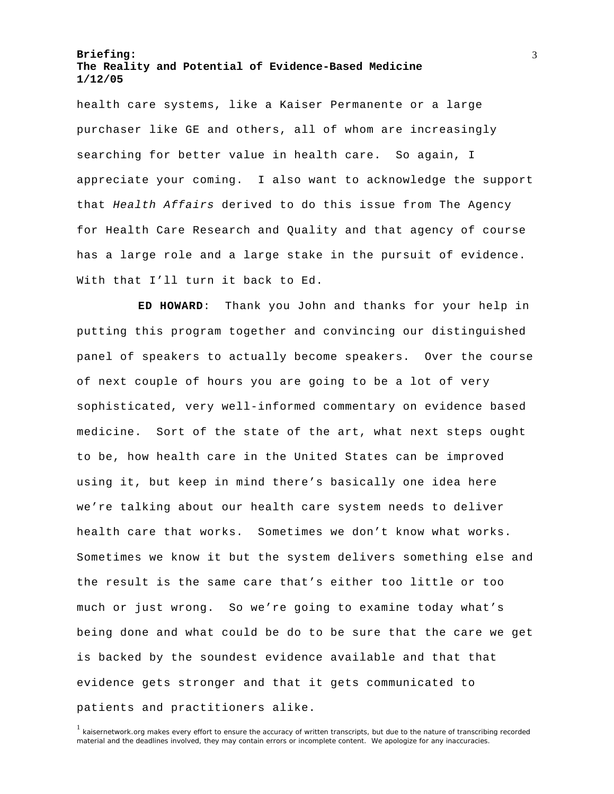health care systems, like a Kaiser Permanente or a large purchaser like GE and others, all of whom are increasingly searching for better value in health care. So again, I appreciate your coming. I also want to acknowledge the support that *Health Affairs* derived to do this issue from The Agency for Health Care Research and Quality and that agency of course has a large role and a large stake in the pursuit of evidence. With that I'll turn it back to Ed.

**ED HOWARD**: Thank you John and thanks for your help in putting this program together and convincing our distinguished panel of speakers to actually become speakers. Over the course of next couple of hours you are going to be a lot of very sophisticated, very well-informed commentary on evidence based medicine. Sort of the state of the art, what next steps ought to be, how health care in the United States can be improved using it, but keep in mind there's basically one idea here we're talking about our health care system needs to deliver health care that works. Sometimes we don't know what works. Sometimes we know it but the system delivers something else and the result is the same care that's either too little or too much or just wrong. So we're going to examine today what's being done and what could be do to be sure that the care we get is backed by the soundest evidence available and that that evidence gets stronger and that it gets communicated to patients and practitioners alike.

<sup>1</sup> kaisernetwork.org makes every effort to ensure the accuracy of written transcripts, but due to the nature of transcribing recorded material and the deadlines involved, they may contain errors or incomplete content. We apologize for any inaccuracies.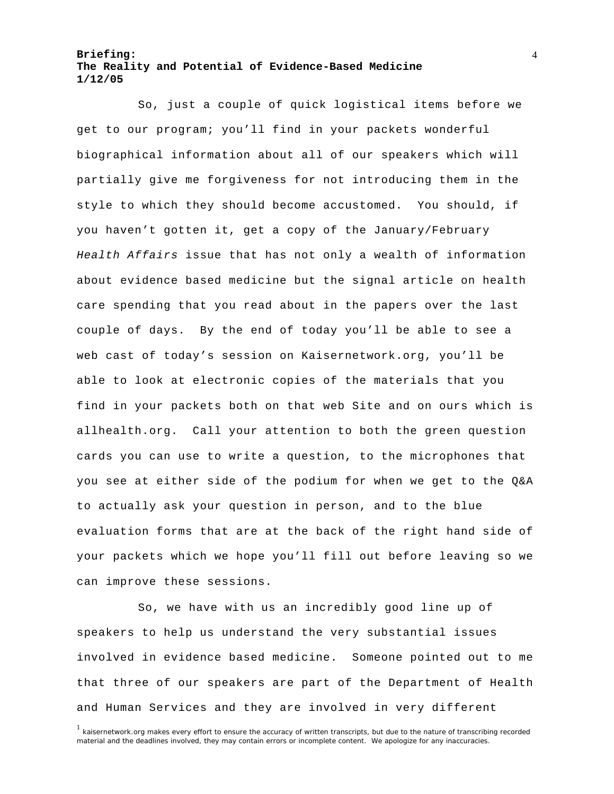So, just a couple of quick logistical items before we get to our program; you'll find in your packets wonderful biographical information about all of our speakers which will partially give me forgiveness for not introducing them in the style to which they should become accustomed. You should, if you haven't gotten it, get a copy of the January/February *Health Affairs* issue that has not only a wealth of information about evidence based medicine but the signal article on health care spending that you read about in the papers over the last couple of days. By the end of today you'll be able to see a web cast of today's session on Kaisernetwork.org, you'll be able to look at electronic copies of the materials that you find in your packets both on that web Site and on ours which is allhealth.org. Call your attention to both the green question cards you can use to write a question, to the microphones that you see at either side of the podium for when we get to the Q&A to actually ask your question in person, and to the blue evaluation forms that are at the back of the right hand side of your packets which we hope you'll fill out before leaving so we can improve these sessions.

So, we have with us an incredibly good line up of speakers to help us understand the very substantial issues involved in evidence based medicine. Someone pointed out to me that three of our speakers are part of the Department of Health and Human Services and they are involved in very different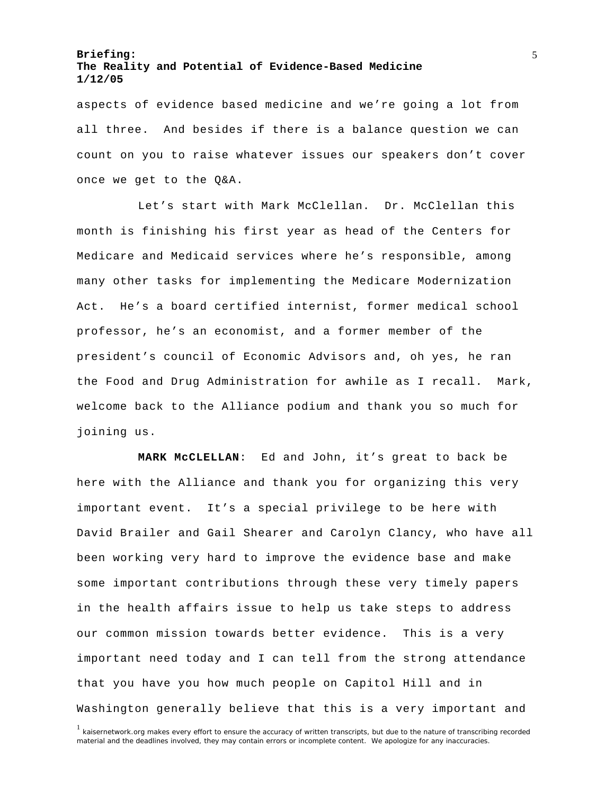aspects of evidence based medicine and we're going a lot from all three. And besides if there is a balance question we can count on you to raise whatever issues our speakers don't cover once we get to the Q&A.

Let's start with Mark McClellan. Dr. McClellan this month is finishing his first year as head of the Centers for Medicare and Medicaid services where he's responsible, among many other tasks for implementing the Medicare Modernization Act. He's a board certified internist, former medical school professor, he's an economist, and a former member of the president's council of Economic Advisors and, oh yes, he ran the Food and Drug Administration for awhile as I recall. Mark, welcome back to the Alliance podium and thank you so much for joining us.

**MARK McCLELLAN**: Ed and John, it's great to back be here with the Alliance and thank you for organizing this very important event. It's a special privilege to be here with David Brailer and Gail Shearer and Carolyn Clancy, who have all been working very hard to improve the evidence base and make some important contributions through these very timely papers in the health affairs issue to help us take steps to address our common mission towards better evidence. This is a very important need today and I can tell from the strong attendance that you have you how much people on Capitol Hill and in Washington generally believe that this is a very important and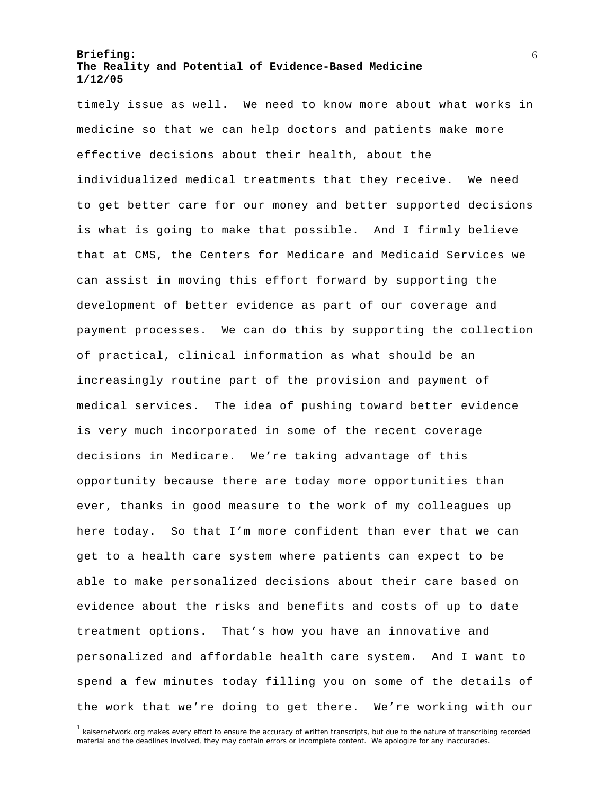timely issue as well. We need to know more about what works in medicine so that we can help doctors and patients make more effective decisions about their health, about the individualized medical treatments that they receive. We need to get better care for our money and better supported decisions is what is going to make that possible. And I firmly believe that at CMS, the Centers for Medicare and Medicaid Services we can assist in moving this effort forward by supporting the development of better evidence as part of our coverage and payment processes. We can do this by supporting the collection of practical, clinical information as what should be an increasingly routine part of the provision and payment of medical services. The idea of pushing toward better evidence is very much incorporated in some of the recent coverage decisions in Medicare. We're taking advantage of this opportunity because there are today more opportunities than ever, thanks in good measure to the work of my colleagues up here today. So that I'm more confident than ever that we can get to a health care system where patients can expect to be able to make personalized decisions about their care based on evidence about the risks and benefits and costs of up to date treatment options. That's how you have an innovative and personalized and affordable health care system. And I want to spend a few minutes today filling you on some of the details of the work that we're doing to get there. We're working with our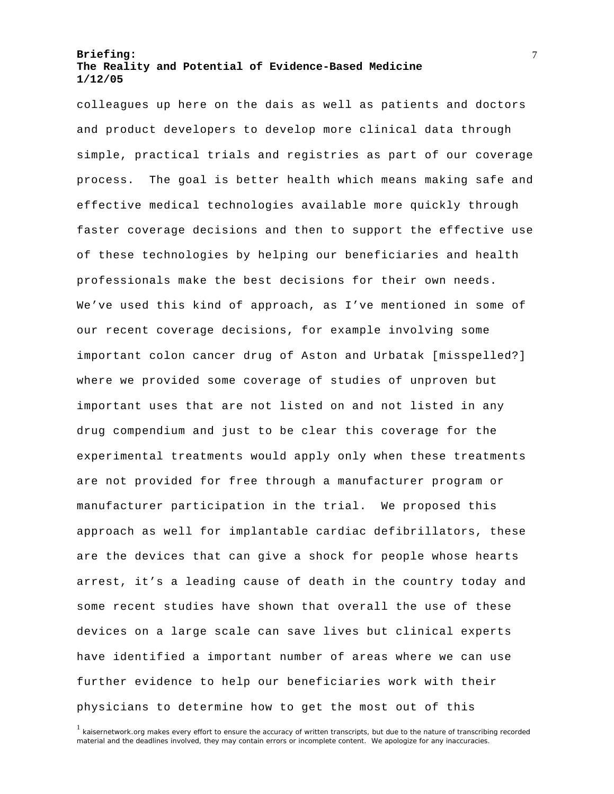colleagues up here on the dais as well as patients and doctors and product developers to develop more clinical data through simple, practical trials and registries as part of our coverage process. The goal is better health which means making safe and effective medical technologies available more quickly through faster coverage decisions and then to support the effective use of these technologies by helping our beneficiaries and health professionals make the best decisions for their own needs. We've used this kind of approach, as I've mentioned in some of our recent coverage decisions, for example involving some important colon cancer drug of Aston and Urbatak [misspelled?] where we provided some coverage of studies of unproven but important uses that are not listed on and not listed in any drug compendium and just to be clear this coverage for the experimental treatments would apply only when these treatments are not provided for free through a manufacturer program or manufacturer participation in the trial. We proposed this approach as well for implantable cardiac defibrillators, these are the devices that can give a shock for people whose hearts arrest, it's a leading cause of death in the country today and some recent studies have shown that overall the use of these devices on a large scale can save lives but clinical experts have identified a important number of areas where we can use further evidence to help our beneficiaries work with their physicians to determine how to get the most out of this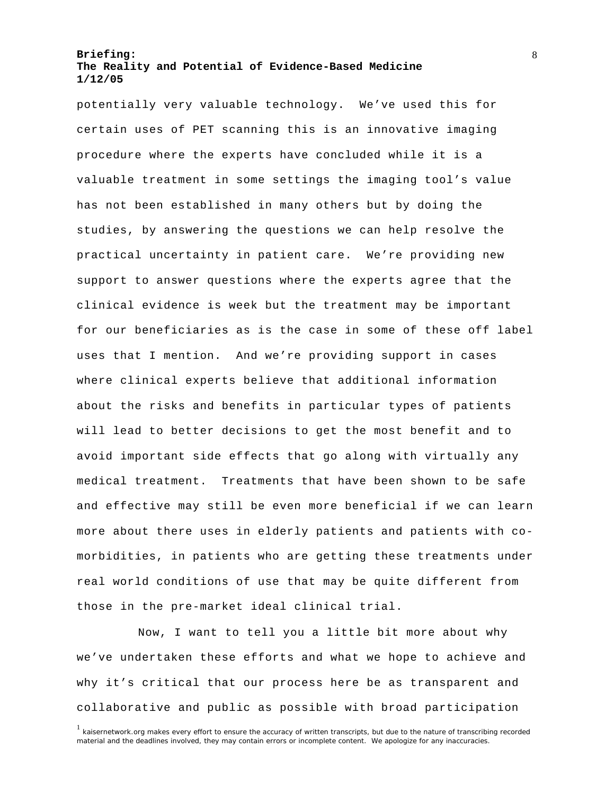potentially very valuable technology. We've used this for certain uses of PET scanning this is an innovative imaging procedure where the experts have concluded while it is a valuable treatment in some settings the imaging tool's value has not been established in many others but by doing the studies, by answering the questions we can help resolve the practical uncertainty in patient care. We're providing new support to answer questions where the experts agree that the clinical evidence is week but the treatment may be important for our beneficiaries as is the case in some of these off label uses that I mention. And we're providing support in cases where clinical experts believe that additional information about the risks and benefits in particular types of patients will lead to better decisions to get the most benefit and to avoid important side effects that go along with virtually any medical treatment. Treatments that have been shown to be safe and effective may still be even more beneficial if we can learn more about there uses in elderly patients and patients with comorbidities, in patients who are getting these treatments under real world conditions of use that may be quite different from those in the pre-market ideal clinical trial.

Now, I want to tell you a little bit more about why we've undertaken these efforts and what we hope to achieve and why it's critical that our process here be as transparent and collaborative and public as possible with broad participation

<sup>&</sup>lt;sup>1</sup> kaisernetwork.org makes every effort to ensure the accuracy of written transcripts, but due to the nature of transcribing recorded material and the deadlines involved, they may contain errors or incomplete content. We apologize for any inaccuracies.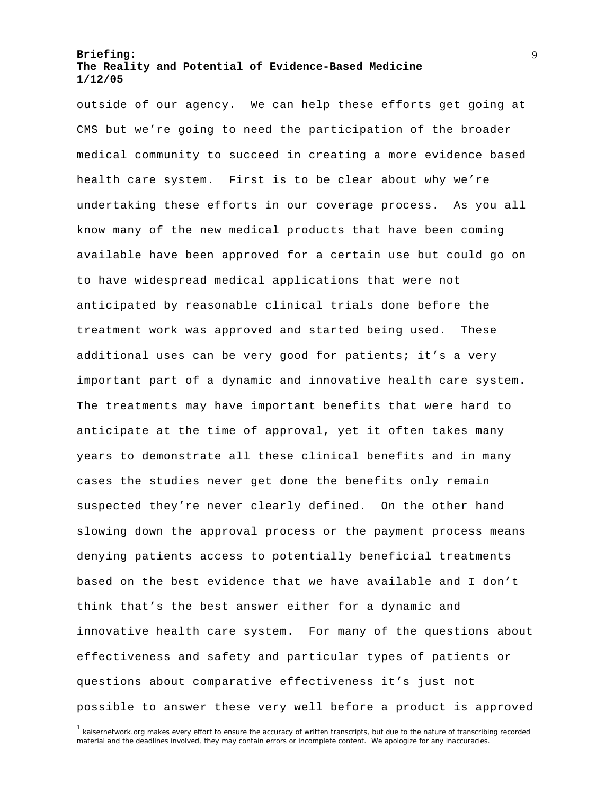outside of our agency. We can help these efforts get going at CMS but we're going to need the participation of the broader medical community to succeed in creating a more evidence based health care system. First is to be clear about why we're undertaking these efforts in our coverage process. As you all know many of the new medical products that have been coming available have been approved for a certain use but could go on to have widespread medical applications that were not anticipated by reasonable clinical trials done before the treatment work was approved and started being used. These additional uses can be very good for patients; it's a very important part of a dynamic and innovative health care system. The treatments may have important benefits that were hard to anticipate at the time of approval, yet it often takes many years to demonstrate all these clinical benefits and in many cases the studies never get done the benefits only remain suspected they're never clearly defined. On the other hand slowing down the approval process or the payment process means denying patients access to potentially beneficial treatments based on the best evidence that we have available and I don't think that's the best answer either for a dynamic and innovative health care system. For many of the questions about effectiveness and safety and particular types of patients or questions about comparative effectiveness it's just not possible to answer these very well before a product is approved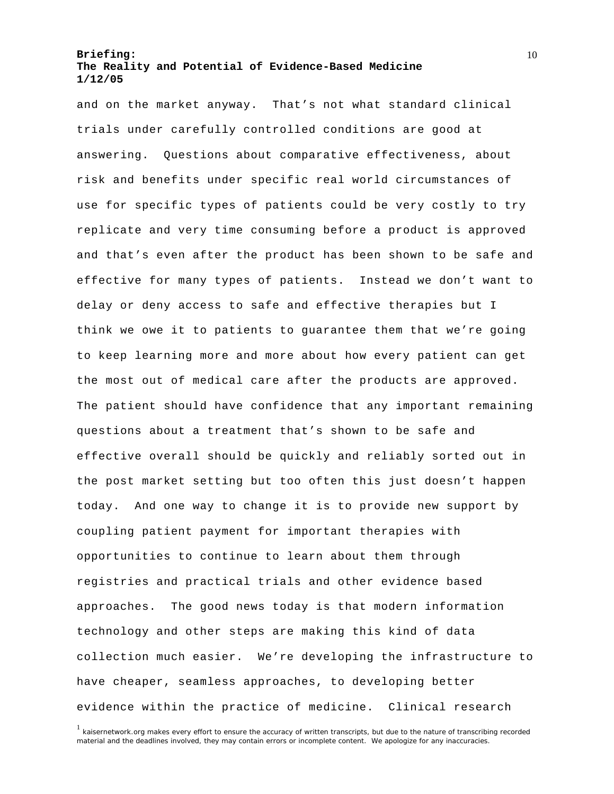and on the market anyway. That's not what standard clinical trials under carefully controlled conditions are good at answering. Questions about comparative effectiveness, about risk and benefits under specific real world circumstances of use for specific types of patients could be very costly to try replicate and very time consuming before a product is approved and that's even after the product has been shown to be safe and effective for many types of patients. Instead we don't want to delay or deny access to safe and effective therapies but I think we owe it to patients to guarantee them that we're going to keep learning more and more about how every patient can get the most out of medical care after the products are approved. The patient should have confidence that any important remaining questions about a treatment that's shown to be safe and effective overall should be quickly and reliably sorted out in the post market setting but too often this just doesn't happen today. And one way to change it is to provide new support by coupling patient payment for important therapies with opportunities to continue to learn about them through registries and practical trials and other evidence based approaches. The good news today is that modern information technology and other steps are making this kind of data collection much easier. We're developing the infrastructure to have cheaper, seamless approaches, to developing better evidence within the practice of medicine. Clinical research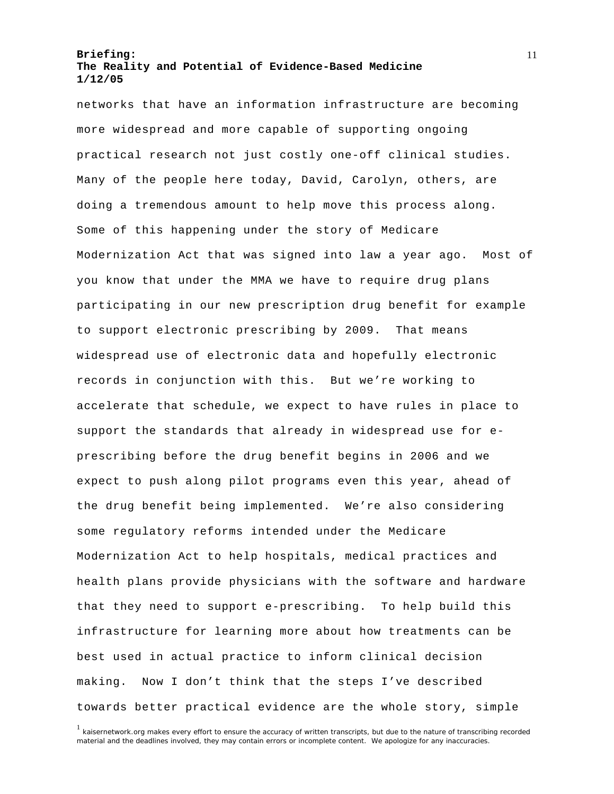networks that have an information infrastructure are becoming more widespread and more capable of supporting ongoing practical research not just costly one-off clinical studies. Many of the people here today, David, Carolyn, others, are doing a tremendous amount to help move this process along. Some of this happening under the story of Medicare Modernization Act that was signed into law a year ago. Most of you know that under the MMA we have to require drug plans participating in our new prescription drug benefit for example to support electronic prescribing by 2009. That means widespread use of electronic data and hopefully electronic records in conjunction with this. But we're working to accelerate that schedule, we expect to have rules in place to support the standards that already in widespread use for eprescribing before the drug benefit begins in 2006 and we expect to push along pilot programs even this year, ahead of the drug benefit being implemented. We're also considering some regulatory reforms intended under the Medicare Modernization Act to help hospitals, medical practices and health plans provide physicians with the software and hardware that they need to support e-prescribing. To help build this infrastructure for learning more about how treatments can be best used in actual practice to inform clinical decision making. Now I don't think that the steps I've described towards better practical evidence are the whole story, simple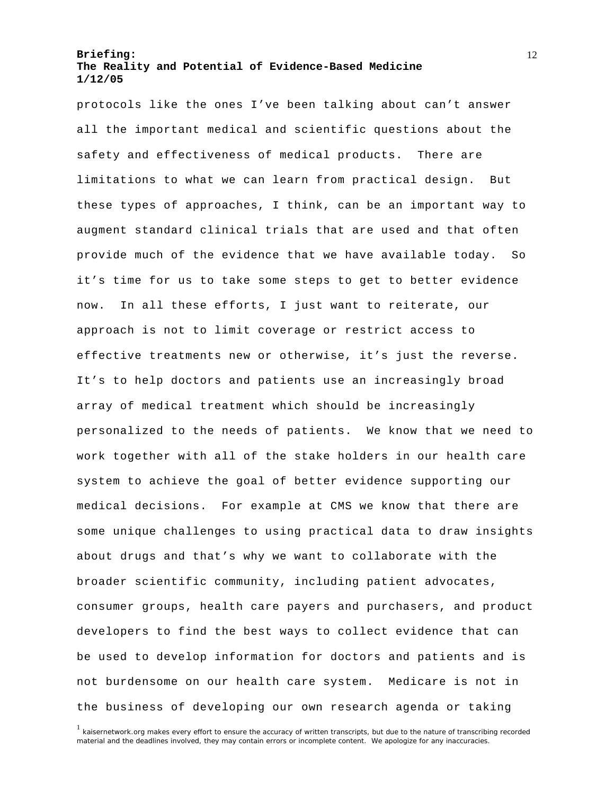protocols like the ones I've been talking about can't answer all the important medical and scientific questions about the safety and effectiveness of medical products. There are limitations to what we can learn from practical design. But these types of approaches, I think, can be an important way to augment standard clinical trials that are used and that often provide much of the evidence that we have available today. So it's time for us to take some steps to get to better evidence now. In all these efforts, I just want to reiterate, our approach is not to limit coverage or restrict access to effective treatments new or otherwise, it's just the reverse. It's to help doctors and patients use an increasingly broad array of medical treatment which should be increasingly personalized to the needs of patients. We know that we need to work together with all of the stake holders in our health care system to achieve the goal of better evidence supporting our medical decisions. For example at CMS we know that there are some unique challenges to using practical data to draw insights about drugs and that's why we want to collaborate with the broader scientific community, including patient advocates, consumer groups, health care payers and purchasers, and product developers to find the best ways to collect evidence that can be used to develop information for doctors and patients and is not burdensome on our health care system. Medicare is not in the business of developing our own research agenda or taking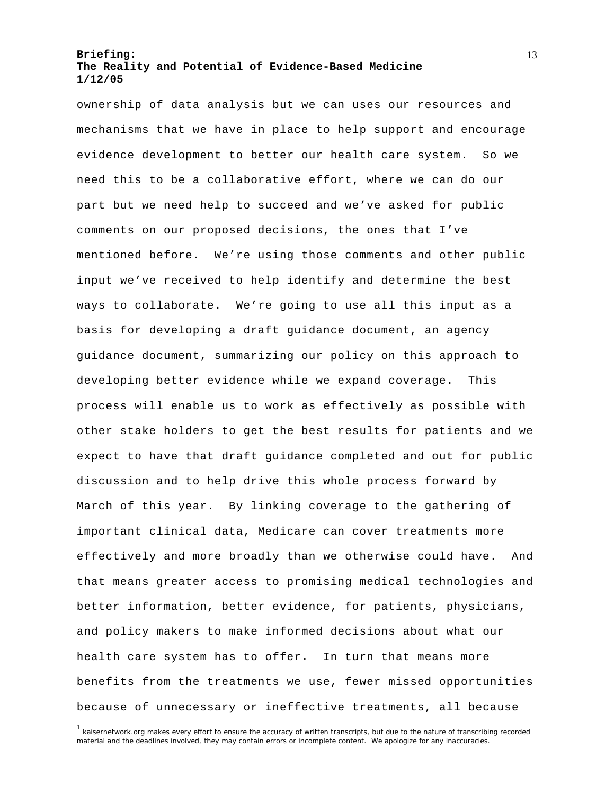ownership of data analysis but we can uses our resources and mechanisms that we have in place to help support and encourage evidence development to better our health care system. So we need this to be a collaborative effort, where we can do our part but we need help to succeed and we've asked for public comments on our proposed decisions, the ones that I've mentioned before. We're using those comments and other public input we've received to help identify and determine the best ways to collaborate. We're going to use all this input as a basis for developing a draft guidance document, an agency guidance document, summarizing our policy on this approach to developing better evidence while we expand coverage. This process will enable us to work as effectively as possible with other stake holders to get the best results for patients and we expect to have that draft guidance completed and out for public discussion and to help drive this whole process forward by March of this year. By linking coverage to the gathering of important clinical data, Medicare can cover treatments more effectively and more broadly than we otherwise could have. And that means greater access to promising medical technologies and better information, better evidence, for patients, physicians, and policy makers to make informed decisions about what our health care system has to offer. In turn that means more benefits from the treatments we use, fewer missed opportunities because of unnecessary or ineffective treatments, all because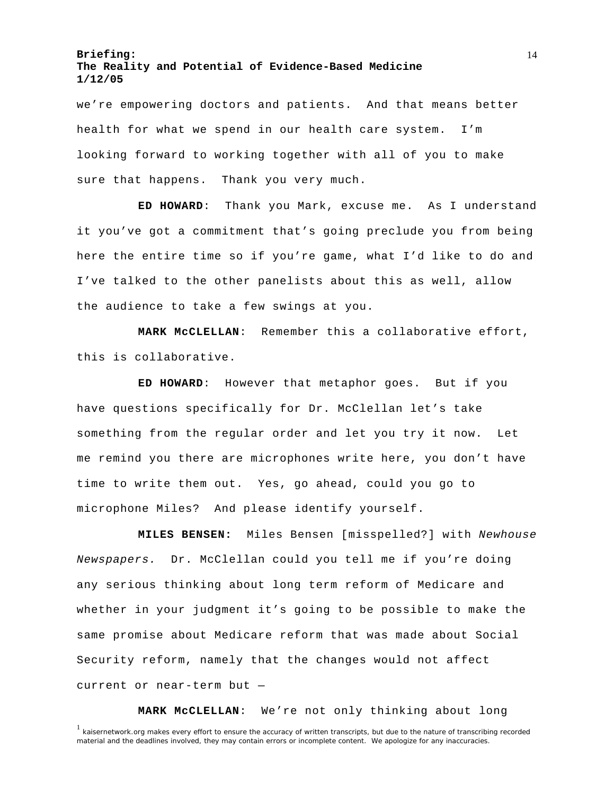we're empowering doctors and patients. And that means better health for what we spend in our health care system. I'm looking forward to working together with all of you to make sure that happens. Thank you very much.

**ED HOWARD**: Thank you Mark, excuse me. As I understand it you've got a commitment that's going preclude you from being here the entire time so if you're game, what I'd like to do and I've talked to the other panelists about this as well, allow the audience to take a few swings at you.

**MARK McCLELLAN**: Remember this a collaborative effort, this is collaborative.

**ED HOWARD**: However that metaphor goes. But if you have questions specifically for Dr. McClellan let's take something from the regular order and let you try it now. Let me remind you there are microphones write here, you don't have time to write them out. Yes, go ahead, could you go to microphone Miles? And please identify yourself.

**MILES BENSEN:** Miles Bensen [misspelled?] with *Newhouse Newspapers.* Dr. McClellan could you tell me if you're doing any serious thinking about long term reform of Medicare and whether in your judgment it's going to be possible to make the same promise about Medicare reform that was made about Social Security reform, namely that the changes would not affect current or near-term but —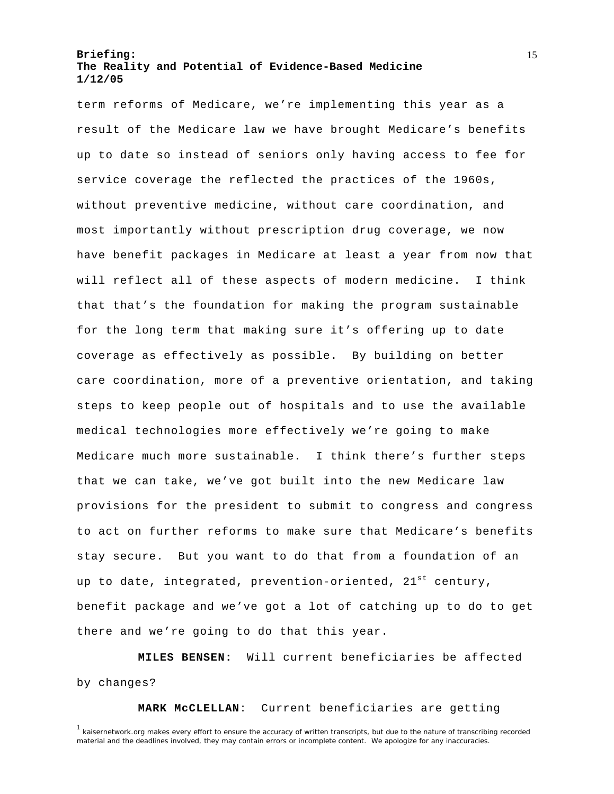term reforms of Medicare, we're implementing this year as a result of the Medicare law we have brought Medicare's benefits up to date so instead of seniors only having access to fee for service coverage the reflected the practices of the 1960s, without preventive medicine, without care coordination, and most importantly without prescription drug coverage, we now have benefit packages in Medicare at least a year from now that will reflect all of these aspects of modern medicine. I think that that's the foundation for making the program sustainable for the long term that making sure it's offering up to date coverage as effectively as possible. By building on better care coordination, more of a preventive orientation, and taking steps to keep people out of hospitals and to use the available medical technologies more effectively we're going to make Medicare much more sustainable. I think there's further steps that we can take, we've got built into the new Medicare law provisions for the president to submit to congress and congress to act on further reforms to make sure that Medicare's benefits stay secure. But you want to do that from a foundation of an up to date, integrated, prevention-oriented,  $21^{st}$  century, benefit package and we've got a lot of catching up to do to get there and we're going to do that this year.

**MILES BENSEN:** Will current beneficiaries be affected by changes?

**MARK McCLELLAN**: Current beneficiaries are getting

<sup>&</sup>lt;sup>1</sup> kaisernetwork.org makes every effort to ensure the accuracy of written transcripts, but due to the nature of transcribing recorded material and the deadlines involved, they may contain errors or incomplete content. We apologize for any inaccuracies.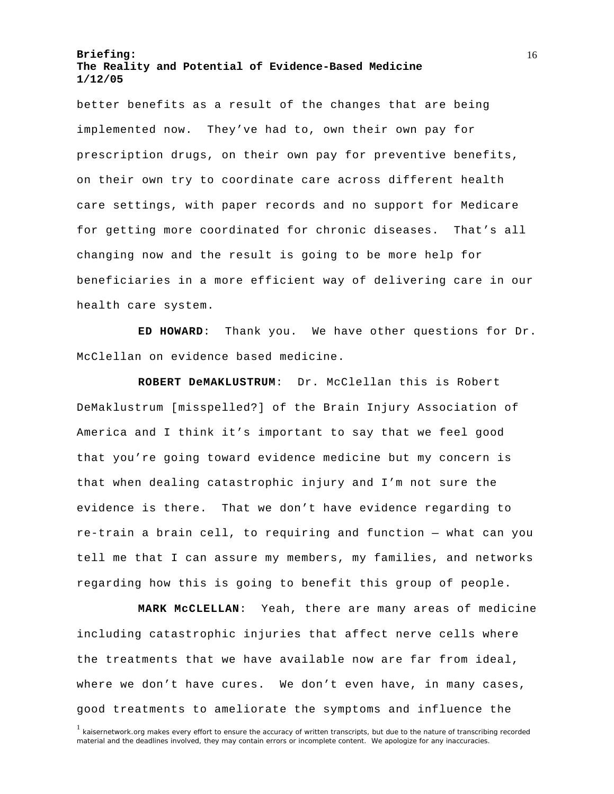better benefits as a result of the changes that are being implemented now. They've had to, own their own pay for prescription drugs, on their own pay for preventive benefits, on their own try to coordinate care across different health care settings, with paper records and no support for Medicare for getting more coordinated for chronic diseases. That's all changing now and the result is going to be more help for beneficiaries in a more efficient way of delivering care in our health care system.

**ED HOWARD**: Thank you. We have other questions for Dr. McClellan on evidence based medicine.

**ROBERT DeMAKLUSTRUM**: Dr. McClellan this is Robert DeMaklustrum [misspelled?] of the Brain Injury Association of America and I think it's important to say that we feel good that you're going toward evidence medicine but my concern is that when dealing catastrophic injury and I'm not sure the evidence is there. That we don't have evidence regarding to re-train a brain cell, to requiring and function — what can you tell me that I can assure my members, my families, and networks regarding how this is going to benefit this group of people.

**MARK McCLELLAN**: Yeah, there are many areas of medicine including catastrophic injuries that affect nerve cells where the treatments that we have available now are far from ideal, where we don't have cures. We don't even have, in many cases, good treatments to ameliorate the symptoms and influence the

<sup>&</sup>lt;sup>1</sup> kaisernetwork.org makes every effort to ensure the accuracy of written transcripts, but due to the nature of transcribing recorded material and the deadlines involved, they may contain errors or incomplete content. We apologize for any inaccuracies.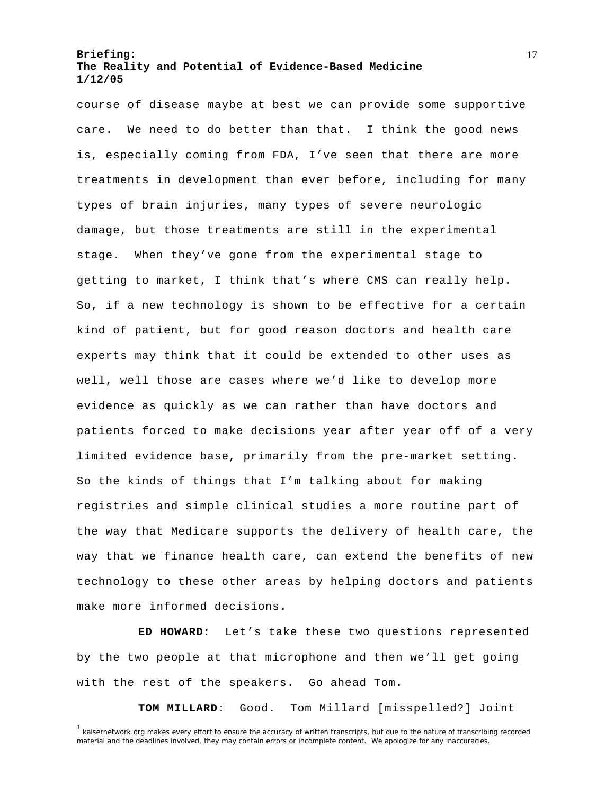course of disease maybe at best we can provide some supportive care. We need to do better than that. I think the good news is, especially coming from FDA, I've seen that there are more treatments in development than ever before, including for many types of brain injuries, many types of severe neurologic damage, but those treatments are still in the experimental stage. When they've gone from the experimental stage to getting to market, I think that's where CMS can really help. So, if a new technology is shown to be effective for a certain kind of patient, but for good reason doctors and health care experts may think that it could be extended to other uses as well, well those are cases where we'd like to develop more evidence as quickly as we can rather than have doctors and patients forced to make decisions year after year off of a very limited evidence base, primarily from the pre-market setting. So the kinds of things that I'm talking about for making registries and simple clinical studies a more routine part of the way that Medicare supports the delivery of health care, the way that we finance health care, can extend the benefits of new technology to these other areas by helping doctors and patients make more informed decisions.

**ED HOWARD**: Let's take these two questions represented by the two people at that microphone and then we'll get going with the rest of the speakers. Go ahead Tom.

**TOM MILLARD**: Good. Tom Millard [misspelled?] Joint

<sup>&</sup>lt;sup>1</sup> kaisernetwork.org makes every effort to ensure the accuracy of written transcripts, but due to the nature of transcribing recorded material and the deadlines involved, they may contain errors or incomplete content. We apologize for any inaccuracies.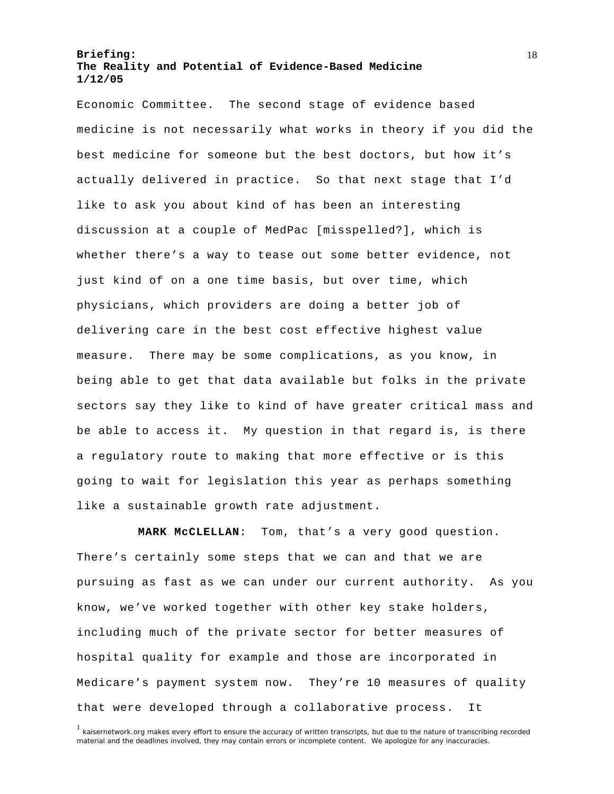Economic Committee. The second stage of evidence based medicine is not necessarily what works in theory if you did the best medicine for someone but the best doctors, but how it's actually delivered in practice. So that next stage that I'd like to ask you about kind of has been an interesting discussion at a couple of MedPac [misspelled?], which is whether there's a way to tease out some better evidence, not just kind of on a one time basis, but over time, which physicians, which providers are doing a better job of delivering care in the best cost effective highest value measure. There may be some complications, as you know, in being able to get that data available but folks in the private sectors say they like to kind of have greater critical mass and be able to access it. My question in that regard is, is there a regulatory route to making that more effective or is this going to wait for legislation this year as perhaps something like a sustainable growth rate adjustment.

**MARK McCLELLAN**: Tom, that's a very good question. There's certainly some steps that we can and that we are pursuing as fast as we can under our current authority. As you know, we've worked together with other key stake holders, including much of the private sector for better measures of hospital quality for example and those are incorporated in Medicare's payment system now. They're 10 measures of quality that were developed through a collaborative process. It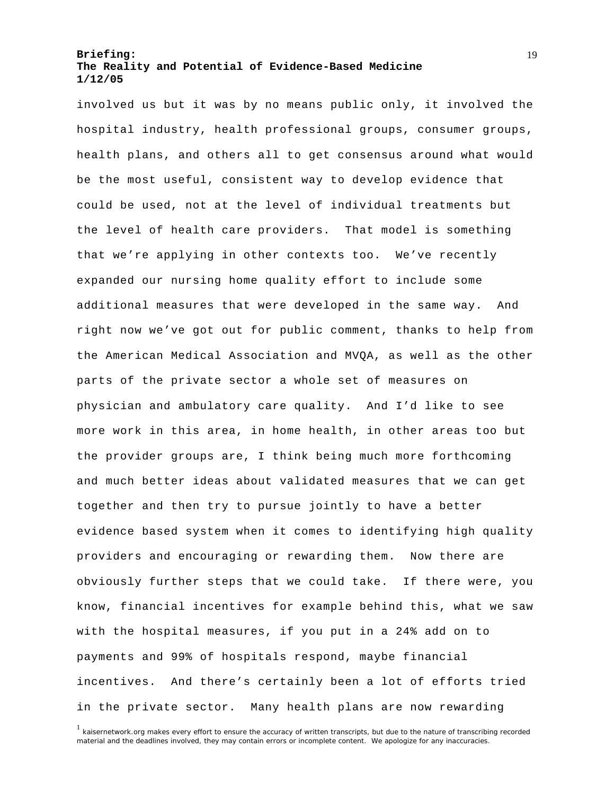involved us but it was by no means public only, it involved the hospital industry, health professional groups, consumer groups, health plans, and others all to get consensus around what would be the most useful, consistent way to develop evidence that could be used, not at the level of individual treatments but the level of health care providers. That model is something that we're applying in other contexts too. We've recently expanded our nursing home quality effort to include some additional measures that were developed in the same way. And right now we've got out for public comment, thanks to help from the American Medical Association and MVQA, as well as the other parts of the private sector a whole set of measures on physician and ambulatory care quality. And I'd like to see more work in this area, in home health, in other areas too but the provider groups are, I think being much more forthcoming and much better ideas about validated measures that we can get together and then try to pursue jointly to have a better evidence based system when it comes to identifying high quality providers and encouraging or rewarding them. Now there are obviously further steps that we could take. If there were, you know, financial incentives for example behind this, what we saw with the hospital measures, if you put in a 24% add on to payments and 99% of hospitals respond, maybe financial incentives. And there's certainly been a lot of efforts tried in the private sector. Many health plans are now rewarding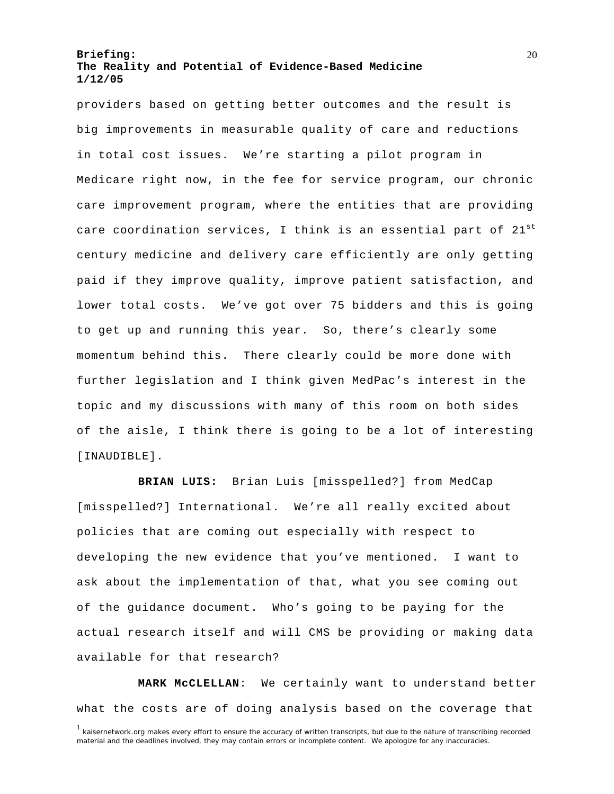providers based on getting better outcomes and the result is big improvements in measurable quality of care and reductions in total cost issues. We're starting a pilot program in Medicare right now, in the fee for service program, our chronic care improvement program, where the entities that are providing care coordination services, I think is an essential part of  $21^{st}$ century medicine and delivery care efficiently are only getting paid if they improve quality, improve patient satisfaction, and lower total costs. We've got over 75 bidders and this is going to get up and running this year. So, there's clearly some momentum behind this. There clearly could be more done with further legislation and I think given MedPac's interest in the topic and my discussions with many of this room on both sides of the aisle, I think there is going to be a lot of interesting [INAUDIBLE].

**BRIAN LUIS:** Brian Luis [misspelled?] from MedCap [misspelled?] International. We're all really excited about policies that are coming out especially with respect to developing the new evidence that you've mentioned. I want to ask about the implementation of that, what you see coming out of the guidance document. Who's going to be paying for the actual research itself and will CMS be providing or making data available for that research?

<sup>1</sup> kaisernetwork.org makes every effort to ensure the accuracy of written transcripts, but due to the nature of transcribing recorded material and the deadlines involved, they may contain errors or incomplete content. We apologize for any inaccuracies. **MARK McCLELLAN**: We certainly want to understand better what the costs are of doing analysis based on the coverage that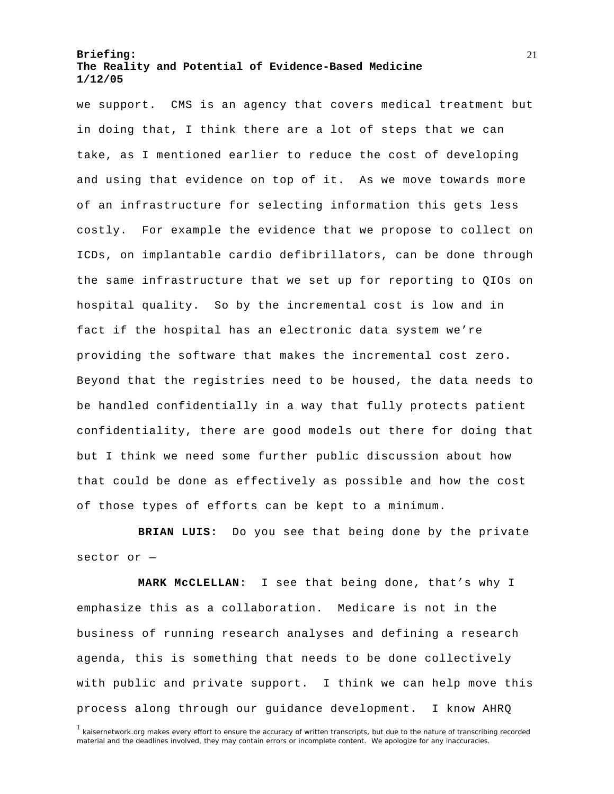we support. CMS is an agency that covers medical treatment but in doing that, I think there are a lot of steps that we can take, as I mentioned earlier to reduce the cost of developing and using that evidence on top of it. As we move towards more of an infrastructure for selecting information this gets less costly. For example the evidence that we propose to collect on ICDs, on implantable cardio defibrillators, can be done through the same infrastructure that we set up for reporting to QIOs on hospital quality. So by the incremental cost is low and in fact if the hospital has an electronic data system we're providing the software that makes the incremental cost zero. Beyond that the registries need to be housed, the data needs to be handled confidentially in a way that fully protects patient confidentiality, there are good models out there for doing that but I think we need some further public discussion about how that could be done as effectively as possible and how the cost of those types of efforts can be kept to a minimum.

**BRIAN LUIS:** Do you see that being done by the private sector or —

**MARK McCLELLAN**: I see that being done, that's why I emphasize this as a collaboration. Medicare is not in the business of running research analyses and defining a research agenda, this is something that needs to be done collectively with public and private support. I think we can help move this process along through our guidance development. I know AHRQ

<sup>&</sup>lt;sup>1</sup> kaisernetwork.org makes every effort to ensure the accuracy of written transcripts, but due to the nature of transcribing recorded material and the deadlines involved, they may contain errors or incomplete content. We apologize for any inaccuracies.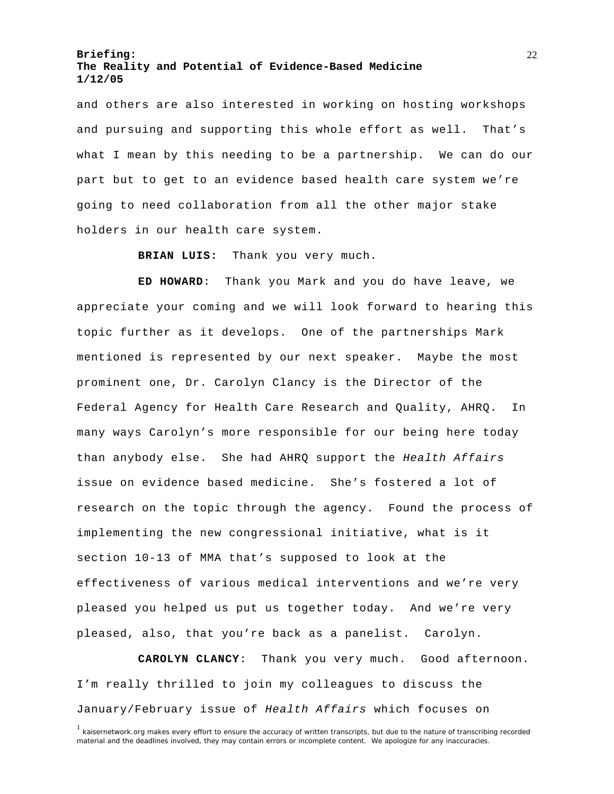and others are also interested in working on hosting workshops and pursuing and supporting this whole effort as well. That's what I mean by this needing to be a partnership. We can do our part but to get to an evidence based health care system we're going to need collaboration from all the other major stake holders in our health care system.

**BRIAN LUIS:** Thank you very much.

**ED HOWARD**: Thank you Mark and you do have leave, we appreciate your coming and we will look forward to hearing this topic further as it develops. One of the partnerships Mark mentioned is represented by our next speaker. Maybe the most prominent one, Dr. Carolyn Clancy is the Director of the Federal Agency for Health Care Research and Quality, AHRQ. In many ways Carolyn's more responsible for our being here today than anybody else. She had AHRQ support the *Health Affairs* issue on evidence based medicine. She's fostered a lot of research on the topic through the agency. Found the process of implementing the new congressional initiative, what is it section 10-13 of MMA that's supposed to look at the effectiveness of various medical interventions and we're very pleased you helped us put us together today. And we're very pleased, also, that you're back as a panelist. Carolyn.

**CAROLYN CLANCY**: Thank you very much. Good afternoon. I'm really thrilled to join my colleagues to discuss the January/February issue of *Health Affairs* which focuses on

<sup>&</sup>lt;sup>1</sup> kaisernetwork.org makes every effort to ensure the accuracy of written transcripts, but due to the nature of transcribing recorded material and the deadlines involved, they may contain errors or incomplete content. We apologize for any inaccuracies.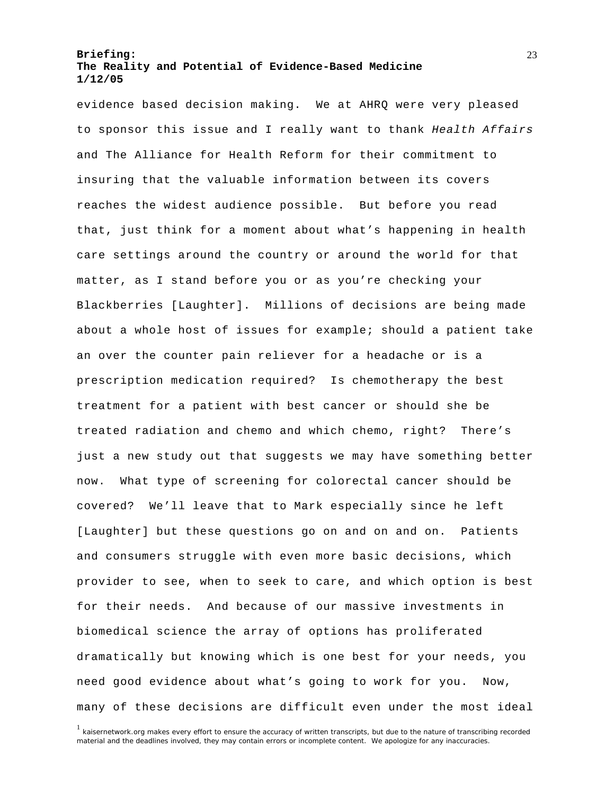evidence based decision making. We at AHRQ were very pleased to sponsor this issue and I really want to thank *Health Affairs*  and The Alliance for Health Reform for their commitment to insuring that the valuable information between its covers reaches the widest audience possible. But before you read that, just think for a moment about what's happening in health care settings around the country or around the world for that matter, as I stand before you or as you're checking your Blackberries [Laughter]. Millions of decisions are being made about a whole host of issues for example; should a patient take an over the counter pain reliever for a headache or is a prescription medication required? Is chemotherapy the best treatment for a patient with best cancer or should she be treated radiation and chemo and which chemo, right? There's just a new study out that suggests we may have something better now. What type of screening for colorectal cancer should be covered? We'll leave that to Mark especially since he left [Laughter] but these questions go on and on and on. Patients and consumers struggle with even more basic decisions, which provider to see, when to seek to care, and which option is best for their needs. And because of our massive investments in biomedical science the array of options has proliferated dramatically but knowing which is one best for your needs, you need good evidence about what's going to work for you. Now, many of these decisions are difficult even under the most ideal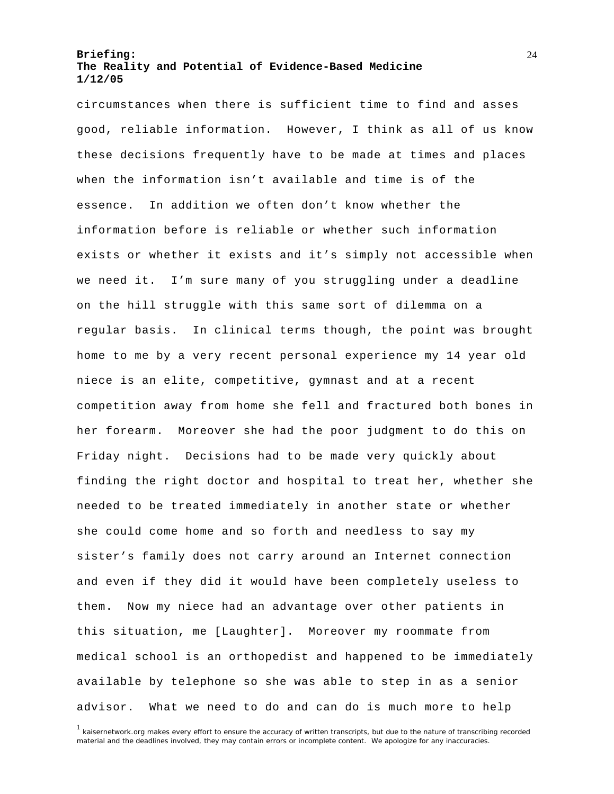circumstances when there is sufficient time to find and asses good, reliable information. However, I think as all of us know these decisions frequently have to be made at times and places when the information isn't available and time is of the essence. In addition we often don't know whether the information before is reliable or whether such information exists or whether it exists and it's simply not accessible when we need it. I'm sure many of you struggling under a deadline on the hill struggle with this same sort of dilemma on a regular basis. In clinical terms though, the point was brought home to me by a very recent personal experience my 14 year old niece is an elite, competitive, gymnast and at a recent competition away from home she fell and fractured both bones in her forearm. Moreover she had the poor judgment to do this on Friday night. Decisions had to be made very quickly about finding the right doctor and hospital to treat her, whether she needed to be treated immediately in another state or whether she could come home and so forth and needless to say my sister's family does not carry around an Internet connection and even if they did it would have been completely useless to them. Now my niece had an advantage over other patients in this situation, me [Laughter]. Moreover my roommate from medical school is an orthopedist and happened to be immediately available by telephone so she was able to step in as a senior advisor. What we need to do and can do is much more to help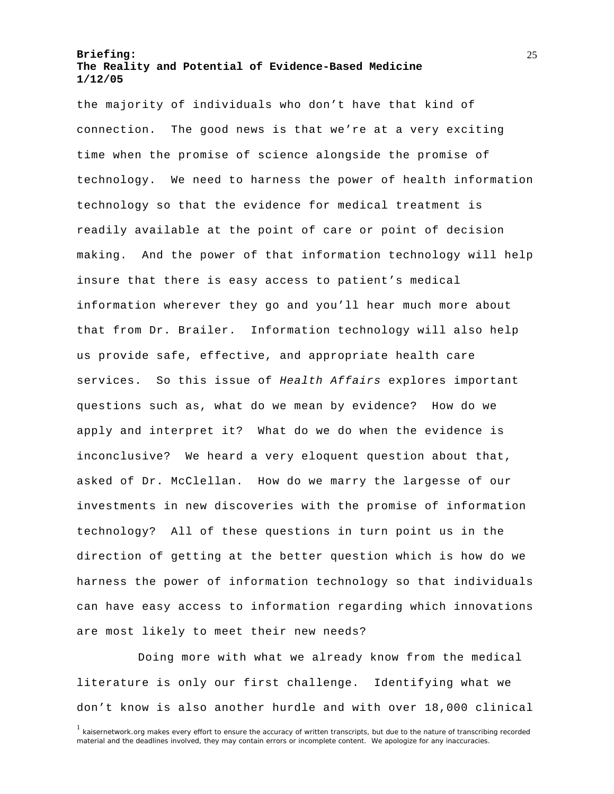the majority of individuals who don't have that kind of connection. The good news is that we're at a very exciting time when the promise of science alongside the promise of technology. We need to harness the power of health information technology so that the evidence for medical treatment is readily available at the point of care or point of decision making. And the power of that information technology will help insure that there is easy access to patient's medical information wherever they go and you'll hear much more about that from Dr. Brailer. Information technology will also help us provide safe, effective, and appropriate health care services. So this issue of *Health Affairs* explores important questions such as, what do we mean by evidence? How do we apply and interpret it? What do we do when the evidence is inconclusive? We heard a very eloquent question about that, asked of Dr. McClellan. How do we marry the largesse of our investments in new discoveries with the promise of information technology? All of these questions in turn point us in the direction of getting at the better question which is how do we harness the power of information technology so that individuals can have easy access to information regarding which innovations are most likely to meet their new needs?

Doing more with what we already know from the medical literature is only our first challenge. Identifying what we don't know is also another hurdle and with over 18,000 clinical

<sup>&</sup>lt;sup>1</sup> kaisernetwork.org makes every effort to ensure the accuracy of written transcripts, but due to the nature of transcribing recorded material and the deadlines involved, they may contain errors or incomplete content. We apologize for any inaccuracies.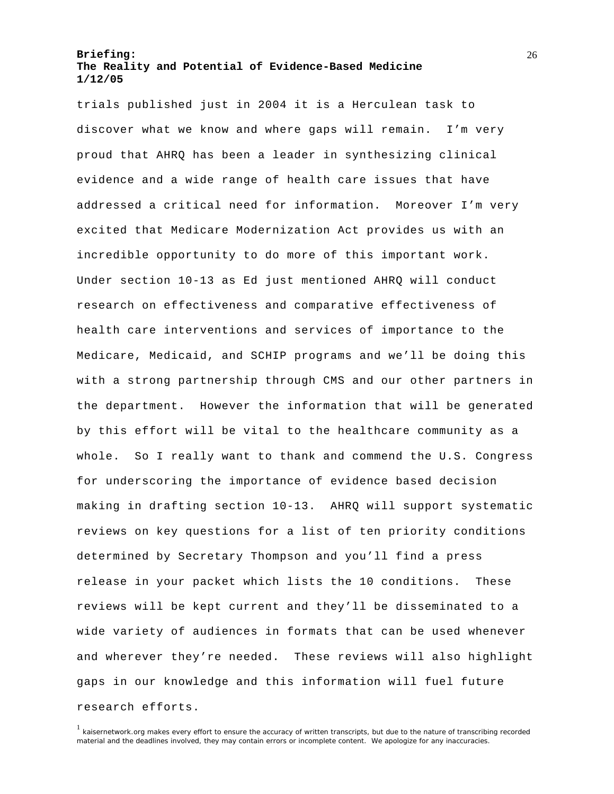trials published just in 2004 it is a Herculean task to discover what we know and where gaps will remain. I'm very proud that AHRQ has been a leader in synthesizing clinical evidence and a wide range of health care issues that have addressed a critical need for information. Moreover I'm very excited that Medicare Modernization Act provides us with an incredible opportunity to do more of this important work. Under section 10-13 as Ed just mentioned AHRQ will conduct research on effectiveness and comparative effectiveness of health care interventions and services of importance to the Medicare, Medicaid, and SCHIP programs and we'll be doing this with a strong partnership through CMS and our other partners in the department. However the information that will be generated by this effort will be vital to the healthcare community as a whole. So I really want to thank and commend the U.S. Congress for underscoring the importance of evidence based decision making in drafting section 10-13. AHRQ will support systematic reviews on key questions for a list of ten priority conditions determined by Secretary Thompson and you'll find a press release in your packet which lists the 10 conditions. These reviews will be kept current and they'll be disseminated to a wide variety of audiences in formats that can be used whenever and wherever they're needed. These reviews will also highlight gaps in our knowledge and this information will fuel future research efforts.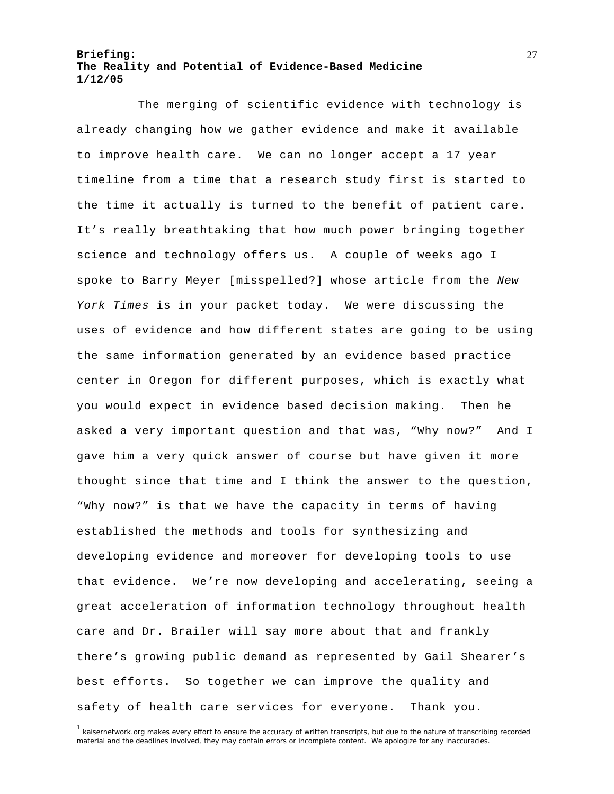The merging of scientific evidence with technology is already changing how we gather evidence and make it available to improve health care. We can no longer accept a 17 year timeline from a time that a research study first is started to the time it actually is turned to the benefit of patient care. It's really breathtaking that how much power bringing together science and technology offers us. A couple of weeks ago I spoke to Barry Meyer [misspelled?] whose article from the *New York Times* is in your packet today. We were discussing the uses of evidence and how different states are going to be using the same information generated by an evidence based practice center in Oregon for different purposes, which is exactly what you would expect in evidence based decision making. Then he asked a very important question and that was, "Why now?" And I gave him a very quick answer of course but have given it more thought since that time and I think the answer to the question, "Why now?" is that we have the capacity in terms of having established the methods and tools for synthesizing and developing evidence and moreover for developing tools to use that evidence. We're now developing and accelerating, seeing a great acceleration of information technology throughout health care and Dr. Brailer will say more about that and frankly there's growing public demand as represented by Gail Shearer's best efforts. So together we can improve the quality and safety of health care services for everyone. Thank you.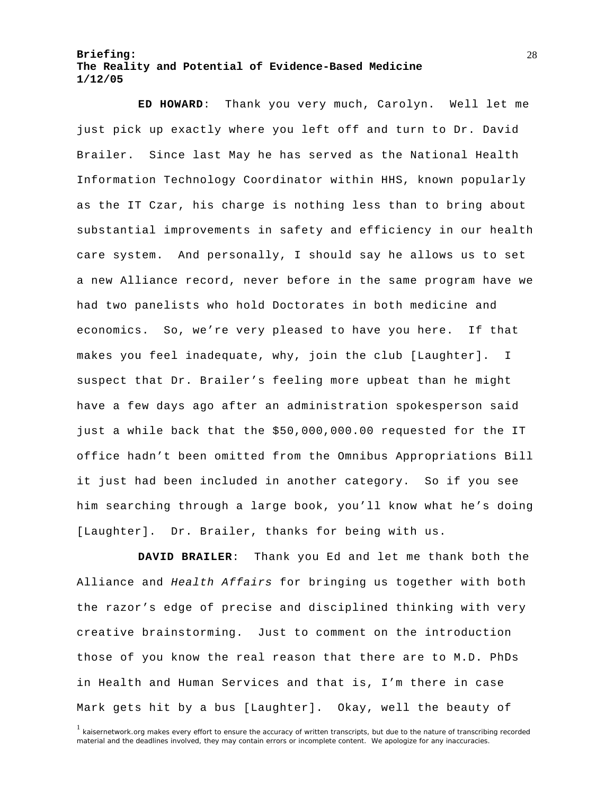**ED HOWARD**: Thank you very much, Carolyn. Well let me just pick up exactly where you left off and turn to Dr. David Brailer. Since last May he has served as the National Health Information Technology Coordinator within HHS, known popularly as the IT Czar, his charge is nothing less than to bring about substantial improvements in safety and efficiency in our health care system. And personally, I should say he allows us to set a new Alliance record, never before in the same program have we had two panelists who hold Doctorates in both medicine and economics. So, we're very pleased to have you here. If that makes you feel inadequate, why, join the club [Laughter]. I suspect that Dr. Brailer's feeling more upbeat than he might have a few days ago after an administration spokesperson said just a while back that the \$50,000,000.00 requested for the IT office hadn't been omitted from the Omnibus Appropriations Bill it just had been included in another category. So if you see him searching through a large book, you'll know what he's doing [Laughter]. Dr. Brailer, thanks for being with us.

**DAVID BRAILER**: Thank you Ed and let me thank both the Alliance and *Health Affairs* for bringing us together with both the razor's edge of precise and disciplined thinking with very creative brainstorming. Just to comment on the introduction those of you know the real reason that there are to M.D. PhDs in Health and Human Services and that is, I'm there in case Mark gets hit by a bus [Laughter]. Okay, well the beauty of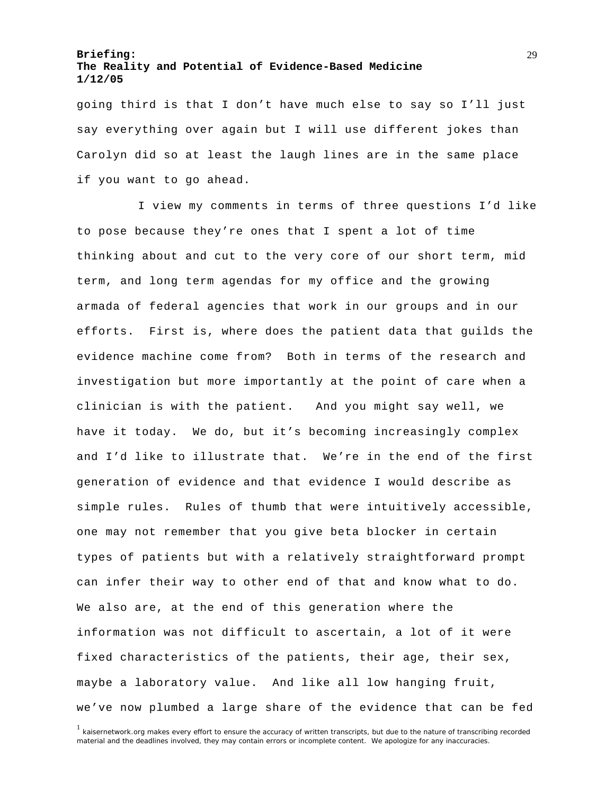going third is that I don't have much else to say so I'll just say everything over again but I will use different jokes than Carolyn did so at least the laugh lines are in the same place if you want to go ahead.

I view my comments in terms of three questions I'd like to pose because they're ones that I spent a lot of time thinking about and cut to the very core of our short term, mid term, and long term agendas for my office and the growing armada of federal agencies that work in our groups and in our efforts. First is, where does the patient data that guilds the evidence machine come from? Both in terms of the research and investigation but more importantly at the point of care when a clinician is with the patient. And you might say well, we have it today. We do, but it's becoming increasingly complex and I'd like to illustrate that. We're in the end of the first generation of evidence and that evidence I would describe as simple rules. Rules of thumb that were intuitively accessible, one may not remember that you give beta blocker in certain types of patients but with a relatively straightforward prompt can infer their way to other end of that and know what to do. We also are, at the end of this generation where the information was not difficult to ascertain, a lot of it were fixed characteristics of the patients, their age, their sex, maybe a laboratory value. And like all low hanging fruit, we've now plumbed a large share of the evidence that can be fed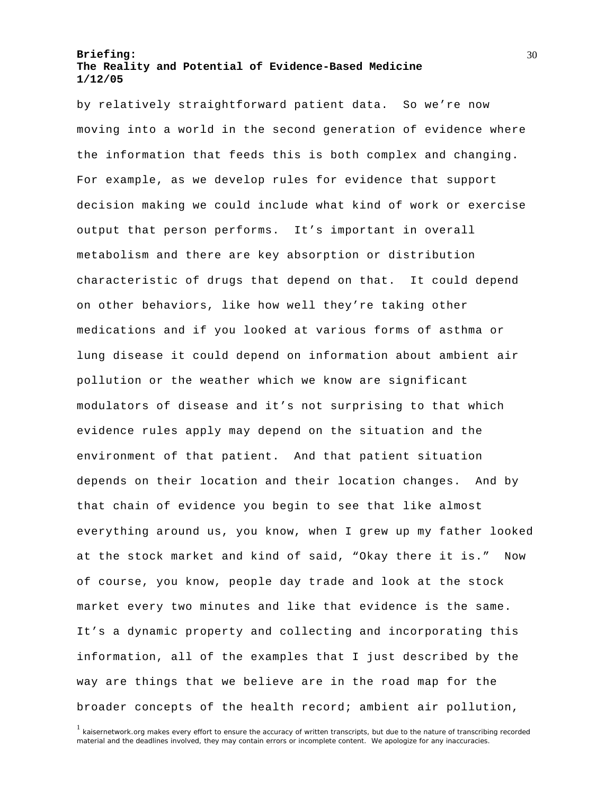by relatively straightforward patient data. So we're now moving into a world in the second generation of evidence where the information that feeds this is both complex and changing. For example, as we develop rules for evidence that support decision making we could include what kind of work or exercise output that person performs. It's important in overall metabolism and there are key absorption or distribution characteristic of drugs that depend on that. It could depend on other behaviors, like how well they're taking other medications and if you looked at various forms of asthma or lung disease it could depend on information about ambient air pollution or the weather which we know are significant modulators of disease and it's not surprising to that which evidence rules apply may depend on the situation and the environment of that patient. And that patient situation depends on their location and their location changes. And by that chain of evidence you begin to see that like almost everything around us, you know, when I grew up my father looked at the stock market and kind of said, "Okay there it is." Now of course, you know, people day trade and look at the stock market every two minutes and like that evidence is the same. It's a dynamic property and collecting and incorporating this information, all of the examples that I just described by the way are things that we believe are in the road map for the broader concepts of the health record; ambient air pollution,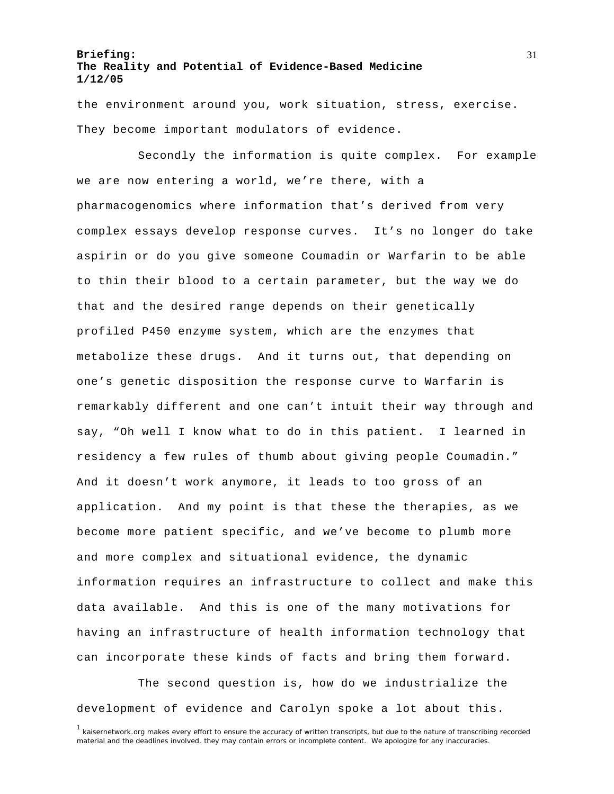the environment around you, work situation, stress, exercise. They become important modulators of evidence.

Secondly the information is quite complex. For example we are now entering a world, we're there, with a pharmacogenomics where information that's derived from very complex essays develop response curves. It's no longer do take aspirin or do you give someone Coumadin or Warfarin to be able to thin their blood to a certain parameter, but the way we do that and the desired range depends on their genetically profiled P450 enzyme system, which are the enzymes that metabolize these drugs. And it turns out, that depending on one's genetic disposition the response curve to Warfarin is remarkably different and one can't intuit their way through and say, "Oh well I know what to do in this patient. I learned in residency a few rules of thumb about giving people Coumadin." And it doesn't work anymore, it leads to too gross of an application. And my point is that these the therapies, as we become more patient specific, and we've become to plumb more and more complex and situational evidence, the dynamic information requires an infrastructure to collect and make this data available. And this is one of the many motivations for having an infrastructure of health information technology that can incorporate these kinds of facts and bring them forward.

The second question is, how do we industrialize the development of evidence and Carolyn spoke a lot about this.

<sup>&</sup>lt;sup>1</sup> kaisernetwork.org makes every effort to ensure the accuracy of written transcripts, but due to the nature of transcribing recorded material and the deadlines involved, they may contain errors or incomplete content. We apologize for any inaccuracies.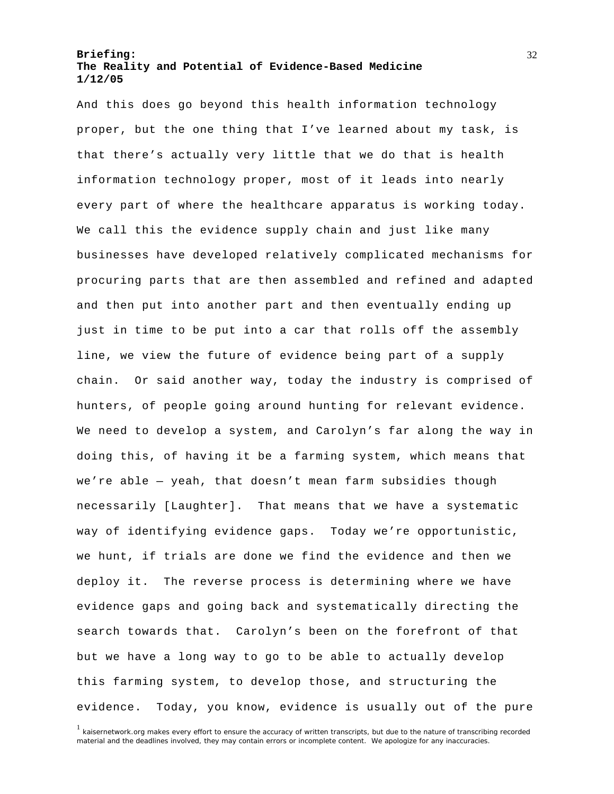And this does go beyond this health information technology proper, but the one thing that I've learned about my task, is that there's actually very little that we do that is health information technology proper, most of it leads into nearly every part of where the healthcare apparatus is working today. We call this the evidence supply chain and just like many businesses have developed relatively complicated mechanisms for procuring parts that are then assembled and refined and adapted and then put into another part and then eventually ending up just in time to be put into a car that rolls off the assembly line, we view the future of evidence being part of a supply chain. Or said another way, today the industry is comprised of hunters, of people going around hunting for relevant evidence. We need to develop a system, and Carolyn's far along the way in doing this, of having it be a farming system, which means that we're able — yeah, that doesn't mean farm subsidies though necessarily [Laughter]. That means that we have a systematic way of identifying evidence gaps. Today we're opportunistic, we hunt, if trials are done we find the evidence and then we deploy it. The reverse process is determining where we have evidence gaps and going back and systematically directing the search towards that. Carolyn's been on the forefront of that but we have a long way to go to be able to actually develop this farming system, to develop those, and structuring the evidence. Today, you know, evidence is usually out of the pure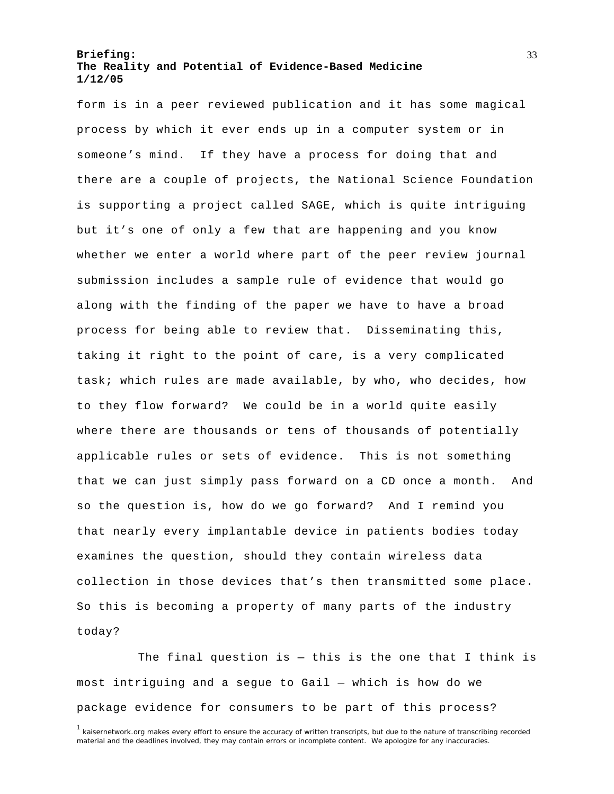form is in a peer reviewed publication and it has some magical process by which it ever ends up in a computer system or in someone's mind. If they have a process for doing that and there are a couple of projects, the National Science Foundation is supporting a project called SAGE, which is quite intriguing but it's one of only a few that are happening and you know whether we enter a world where part of the peer review journal submission includes a sample rule of evidence that would go along with the finding of the paper we have to have a broad process for being able to review that. Disseminating this, taking it right to the point of care, is a very complicated task; which rules are made available, by who, who decides, how to they flow forward? We could be in a world quite easily where there are thousands or tens of thousands of potentially applicable rules or sets of evidence. This is not something that we can just simply pass forward on a CD once a month. And so the question is, how do we go forward? And I remind you that nearly every implantable device in patients bodies today examines the question, should they contain wireless data collection in those devices that's then transmitted some place. So this is becoming a property of many parts of the industry today?

The final question is  $-$  this is the one that I think is most intriguing and a segue to Gail — which is how do we package evidence for consumers to be part of this process?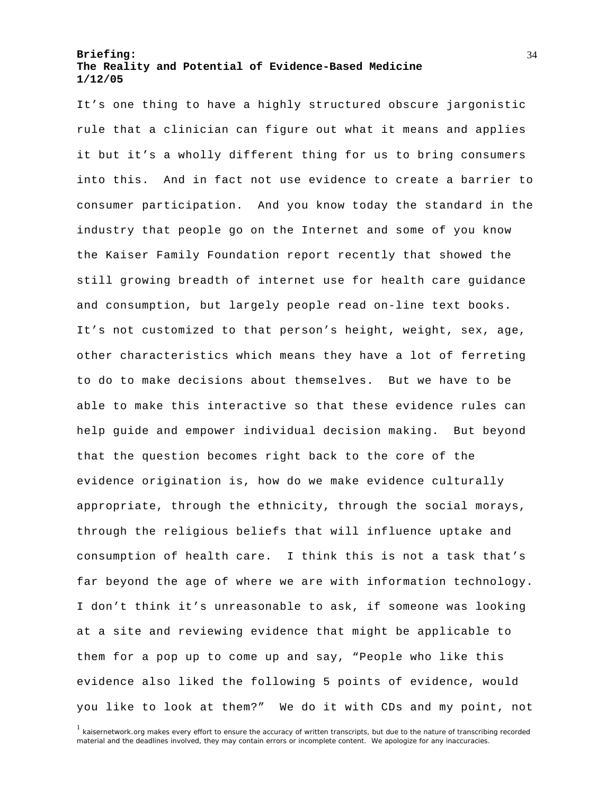It's one thing to have a highly structured obscure jargonistic rule that a clinician can figure out what it means and applies it but it's a wholly different thing for us to bring consumers into this. And in fact not use evidence to create a barrier to consumer participation. And you know today the standard in the industry that people go on the Internet and some of you know the Kaiser Family Foundation report recently that showed the still growing breadth of internet use for health care guidance and consumption, but largely people read on-line text books. It's not customized to that person's height, weight, sex, age, other characteristics which means they have a lot of ferreting to do to make decisions about themselves. But we have to be able to make this interactive so that these evidence rules can help guide and empower individual decision making. But beyond that the question becomes right back to the core of the evidence origination is, how do we make evidence culturally appropriate, through the ethnicity, through the social morays, through the religious beliefs that will influence uptake and consumption of health care. I think this is not a task that's far beyond the age of where we are with information technology. I don't think it's unreasonable to ask, if someone was looking at a site and reviewing evidence that might be applicable to them for a pop up to come up and say, "People who like this evidence also liked the following 5 points of evidence, would you like to look at them?" We do it with CDs and my point, not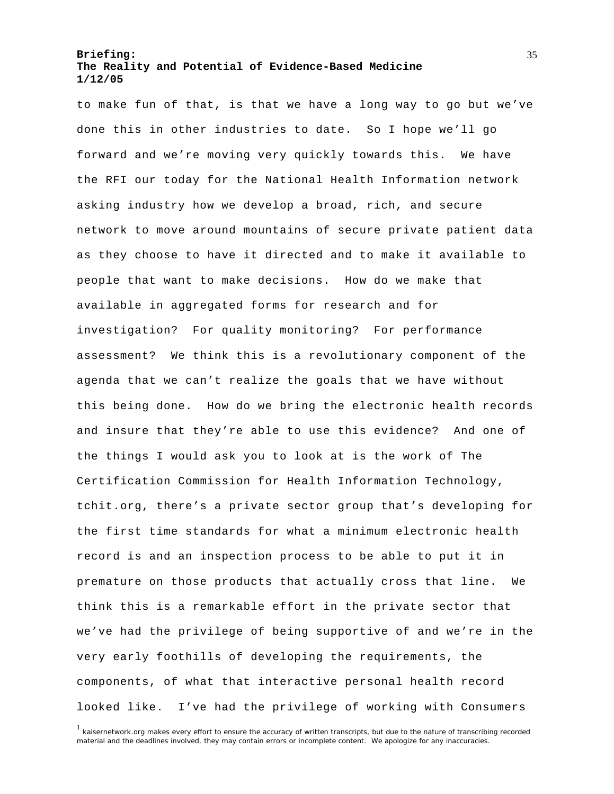to make fun of that, is that we have a long way to go but we've done this in other industries to date. So I hope we'll go forward and we're moving very quickly towards this. We have the RFI our today for the National Health Information network asking industry how we develop a broad, rich, and secure network to move around mountains of secure private patient data as they choose to have it directed and to make it available to people that want to make decisions. How do we make that available in aggregated forms for research and for investigation? For quality monitoring? For performance assessment? We think this is a revolutionary component of the agenda that we can't realize the goals that we have without this being done. How do we bring the electronic health records and insure that they're able to use this evidence? And one of the things I would ask you to look at is the work of The Certification Commission for Health Information Technology, tchit.org, there's a private sector group that's developing for the first time standards for what a minimum electronic health record is and an inspection process to be able to put it in premature on those products that actually cross that line. We think this is a remarkable effort in the private sector that we've had the privilege of being supportive of and we're in the very early foothills of developing the requirements, the components, of what that interactive personal health record looked like. I've had the privilege of working with Consumers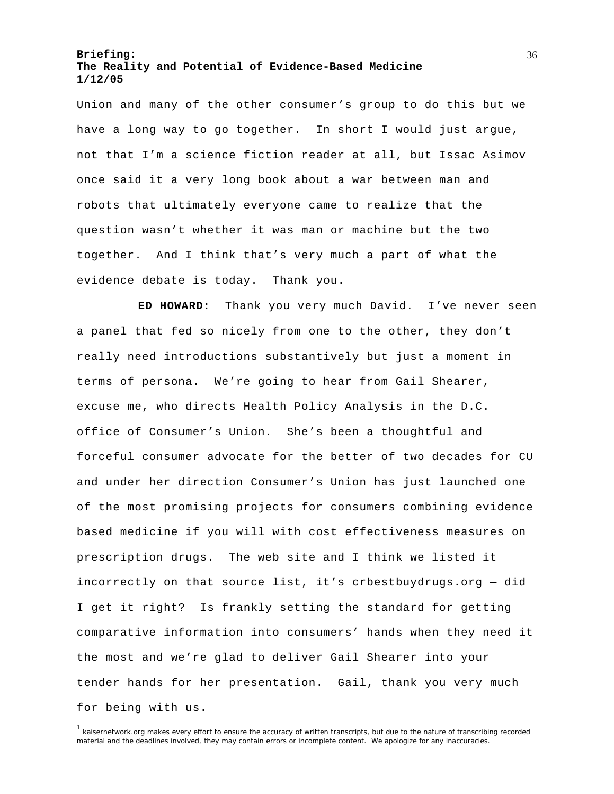Union and many of the other consumer's group to do this but we have a long way to go together. In short I would just argue, not that I'm a science fiction reader at all, but Issac Asimov once said it a very long book about a war between man and robots that ultimately everyone came to realize that the question wasn't whether it was man or machine but the two together. And I think that's very much a part of what the evidence debate is today. Thank you.

**ED HOWARD**: Thank you very much David. I've never seen a panel that fed so nicely from one to the other, they don't really need introductions substantively but just a moment in terms of persona. We're going to hear from Gail Shearer, excuse me, who directs Health Policy Analysis in the D.C. office of Consumer's Union. She's been a thoughtful and forceful consumer advocate for the better of two decades for CU and under her direction Consumer's Union has just launched one of the most promising projects for consumers combining evidence based medicine if you will with cost effectiveness measures on prescription drugs. The web site and I think we listed it incorrectly on that source list, it's crbestbuydrugs.org — did I get it right? Is frankly setting the standard for getting comparative information into consumers' hands when they need it the most and we're glad to deliver Gail Shearer into your tender hands for her presentation. Gail, thank you very much for being with us.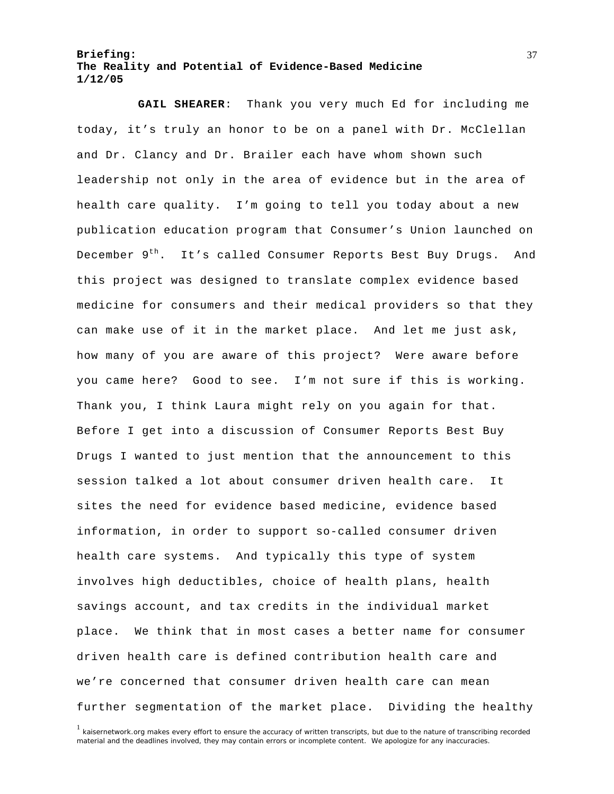**GAIL SHEARER**: Thank you very much Ed for including me today, it's truly an honor to be on a panel with Dr. McClellan and Dr. Clancy and Dr. Brailer each have whom shown such leadership not only in the area of evidence but in the area of health care quality. I'm going to tell you today about a new publication education program that Consumer's Union launched on December 9<sup>th</sup>. It's called Consumer Reports Best Buy Drugs. And this project was designed to translate complex evidence based medicine for consumers and their medical providers so that they can make use of it in the market place. And let me just ask, how many of you are aware of this project? Were aware before you came here? Good to see. I'm not sure if this is working. Thank you, I think Laura might rely on you again for that. Before I get into a discussion of Consumer Reports Best Buy Drugs I wanted to just mention that the announcement to this session talked a lot about consumer driven health care. It sites the need for evidence based medicine, evidence based information, in order to support so-called consumer driven health care systems. And typically this type of system involves high deductibles, choice of health plans, health savings account, and tax credits in the individual market place. We think that in most cases a better name for consumer driven health care is defined contribution health care and we're concerned that consumer driven health care can mean further segmentation of the market place. Dividing the healthy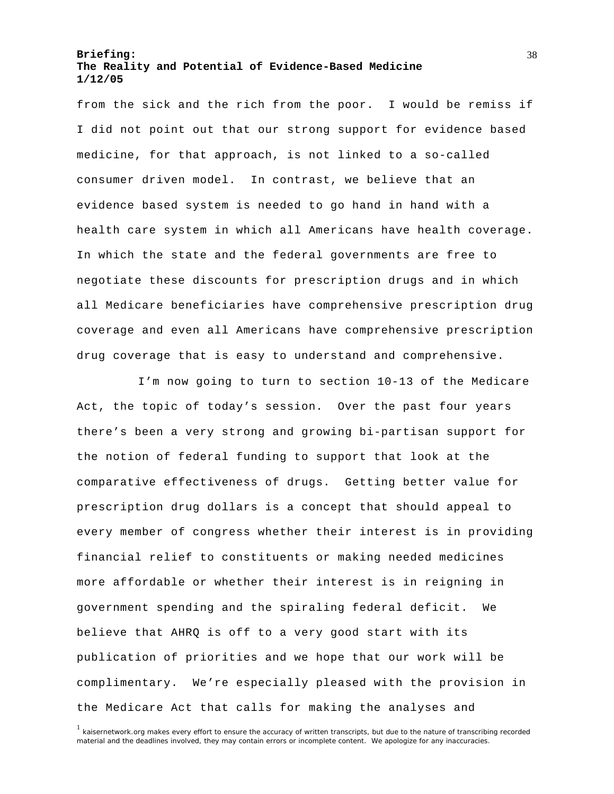from the sick and the rich from the poor. I would be remiss if I did not point out that our strong support for evidence based medicine, for that approach, is not linked to a so-called consumer driven model. In contrast, we believe that an evidence based system is needed to go hand in hand with a health care system in which all Americans have health coverage. In which the state and the federal governments are free to negotiate these discounts for prescription drugs and in which all Medicare beneficiaries have comprehensive prescription drug coverage and even all Americans have comprehensive prescription drug coverage that is easy to understand and comprehensive.

I'm now going to turn to section 10-13 of the Medicare Act, the topic of today's session. Over the past four years there's been a very strong and growing bi-partisan support for the notion of federal funding to support that look at the comparative effectiveness of drugs. Getting better value for prescription drug dollars is a concept that should appeal to every member of congress whether their interest is in providing financial relief to constituents or making needed medicines more affordable or whether their interest is in reigning in government spending and the spiraling federal deficit. We believe that AHRQ is off to a very good start with its publication of priorities and we hope that our work will be complimentary. We're especially pleased with the provision in the Medicare Act that calls for making the analyses and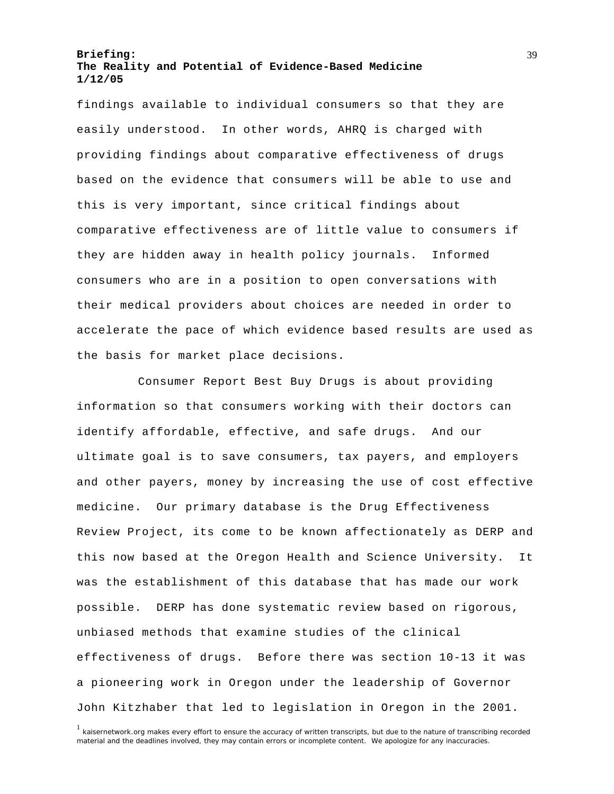findings available to individual consumers so that they are easily understood. In other words, AHRQ is charged with providing findings about comparative effectiveness of drugs based on the evidence that consumers will be able to use and this is very important, since critical findings about comparative effectiveness are of little value to consumers if they are hidden away in health policy journals. Informed consumers who are in a position to open conversations with their medical providers about choices are needed in order to accelerate the pace of which evidence based results are used as the basis for market place decisions.

Consumer Report Best Buy Drugs is about providing information so that consumers working with their doctors can identify affordable, effective, and safe drugs. And our ultimate goal is to save consumers, tax payers, and employers and other payers, money by increasing the use of cost effective medicine. Our primary database is the Drug Effectiveness Review Project, its come to be known affectionately as DERP and this now based at the Oregon Health and Science University. It was the establishment of this database that has made our work possible. DERP has done systematic review based on rigorous, unbiased methods that examine studies of the clinical effectiveness of drugs. Before there was section 10-13 it was a pioneering work in Oregon under the leadership of Governor John Kitzhaber that led to legislation in Oregon in the 2001.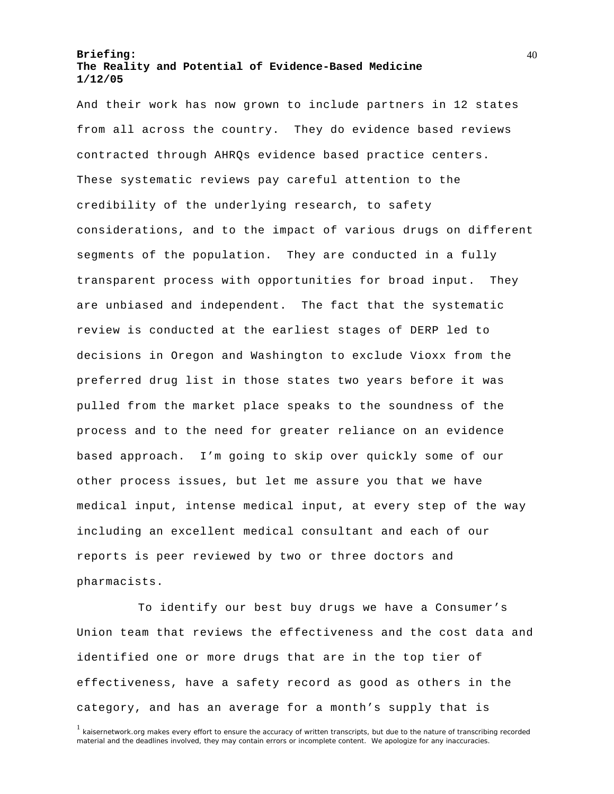And their work has now grown to include partners in 12 states from all across the country. They do evidence based reviews contracted through AHRQs evidence based practice centers. These systematic reviews pay careful attention to the credibility of the underlying research, to safety considerations, and to the impact of various drugs on different segments of the population. They are conducted in a fully transparent process with opportunities for broad input. They are unbiased and independent. The fact that the systematic review is conducted at the earliest stages of DERP led to decisions in Oregon and Washington to exclude Vioxx from the preferred drug list in those states two years before it was pulled from the market place speaks to the soundness of the process and to the need for greater reliance on an evidence based approach. I'm going to skip over quickly some of our other process issues, but let me assure you that we have medical input, intense medical input, at every step of the way including an excellent medical consultant and each of our reports is peer reviewed by two or three doctors and pharmacists.

To identify our best buy drugs we have a Consumer's Union team that reviews the effectiveness and the cost data and identified one or more drugs that are in the top tier of effectiveness, have a safety record as good as others in the category, and has an average for a month's supply that is

<sup>&</sup>lt;sup>1</sup> kaisernetwork.org makes every effort to ensure the accuracy of written transcripts, but due to the nature of transcribing recorded material and the deadlines involved, they may contain errors or incomplete content. We apologize for any inaccuracies.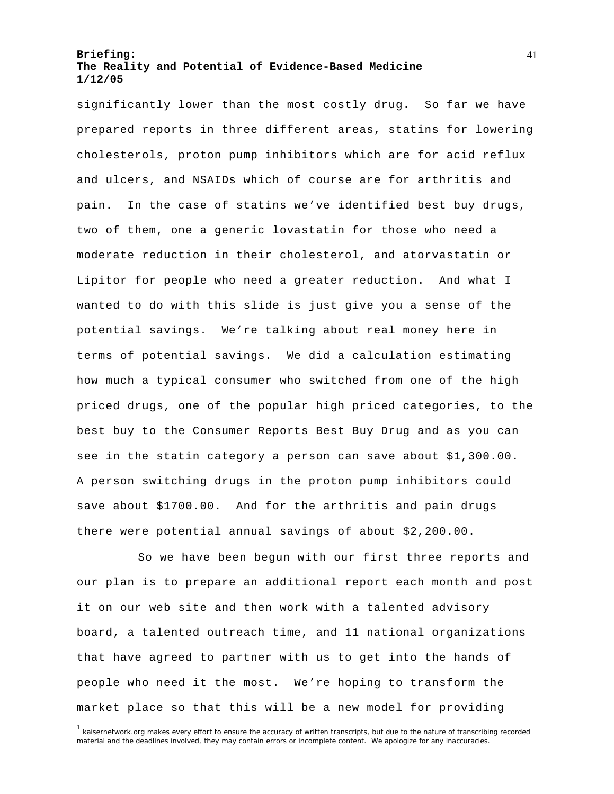significantly lower than the most costly drug. So far we have prepared reports in three different areas, statins for lowering cholesterols, proton pump inhibitors which are for acid reflux and ulcers, and NSAIDs which of course are for arthritis and pain. In the case of statins we've identified best buy drugs, two of them, one a generic lovastatin for those who need a moderate reduction in their cholesterol, and atorvastatin or Lipitor for people who need a greater reduction. And what I wanted to do with this slide is just give you a sense of the potential savings. We're talking about real money here in terms of potential savings. We did a calculation estimating how much a typical consumer who switched from one of the high priced drugs, one of the popular high priced categories, to the best buy to the Consumer Reports Best Buy Drug and as you can see in the statin category a person can save about \$1,300.00. A person switching drugs in the proton pump inhibitors could save about \$1700.00. And for the arthritis and pain drugs there were potential annual savings of about \$2,200.00.

So we have been begun with our first three reports and our plan is to prepare an additional report each month and post it on our web site and then work with a talented advisory board, a talented outreach time, and 11 national organizations that have agreed to partner with us to get into the hands of people who need it the most. We're hoping to transform the market place so that this will be a new model for providing

<sup>&</sup>lt;sup>1</sup> kaisernetwork.org makes every effort to ensure the accuracy of written transcripts, but due to the nature of transcribing recorded material and the deadlines involved, they may contain errors or incomplete content. We apologize for any inaccuracies.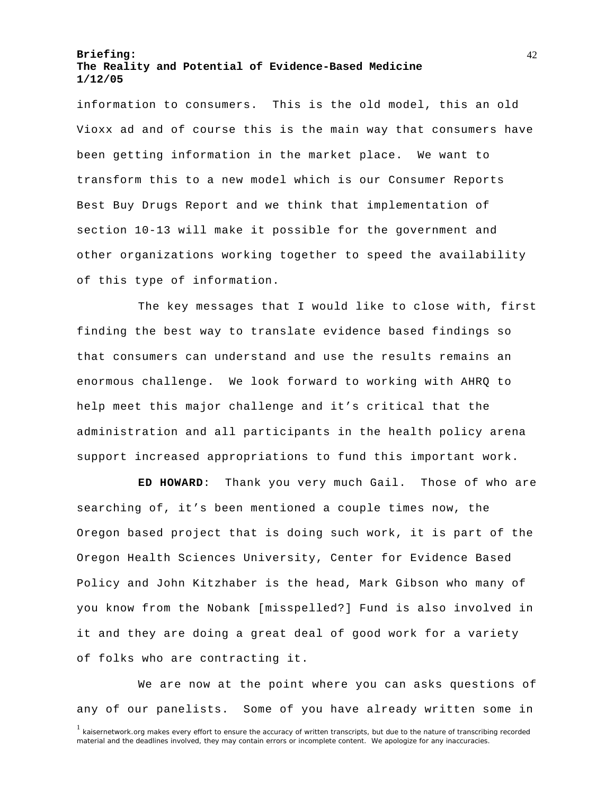information to consumers. This is the old model, this an old Vioxx ad and of course this is the main way that consumers have been getting information in the market place. We want to transform this to a new model which is our Consumer Reports Best Buy Drugs Report and we think that implementation of section 10-13 will make it possible for the government and other organizations working together to speed the availability of this type of information.

The key messages that I would like to close with, first finding the best way to translate evidence based findings so that consumers can understand and use the results remains an enormous challenge. We look forward to working with AHRQ to help meet this major challenge and it's critical that the administration and all participants in the health policy arena support increased appropriations to fund this important work.

**ED HOWARD**: Thank you very much Gail. Those of who are searching of, it's been mentioned a couple times now, the Oregon based project that is doing such work, it is part of the Oregon Health Sciences University, Center for Evidence Based Policy and John Kitzhaber is the head, Mark Gibson who many of you know from the Nobank [misspelled?] Fund is also involved in it and they are doing a great deal of good work for a variety of folks who are contracting it.

<sup>1</sup> kaisernetwork.org makes every effort to ensure the accuracy of written transcripts, but due to the nature of transcribing recorded material and the deadlines involved, they may contain errors or incomplete content. We apologize for any inaccuracies. We are now at the point where you can asks questions of any of our panelists. Some of you have already written some in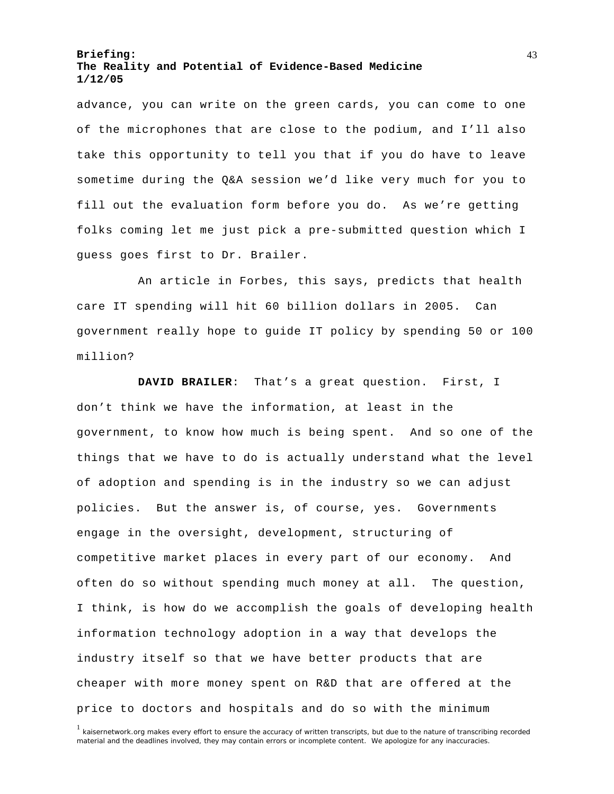advance, you can write on the green cards, you can come to one of the microphones that are close to the podium, and I'll also take this opportunity to tell you that if you do have to leave sometime during the Q&A session we'd like very much for you to fill out the evaluation form before you do. As we're getting folks coming let me just pick a pre-submitted question which I guess goes first to Dr. Brailer.

An article in Forbes, this says, predicts that health care IT spending will hit 60 billion dollars in 2005. Can government really hope to guide IT policy by spending 50 or 100 million?

**DAVID BRAILER**: That's a great question. First, I don't think we have the information, at least in the government, to know how much is being spent. And so one of the things that we have to do is actually understand what the level of adoption and spending is in the industry so we can adjust policies. But the answer is, of course, yes. Governments engage in the oversight, development, structuring of competitive market places in every part of our economy. And often do so without spending much money at all. The question, I think, is how do we accomplish the goals of developing health information technology adoption in a way that develops the industry itself so that we have better products that are cheaper with more money spent on R&D that are offered at the price to doctors and hospitals and do so with the minimum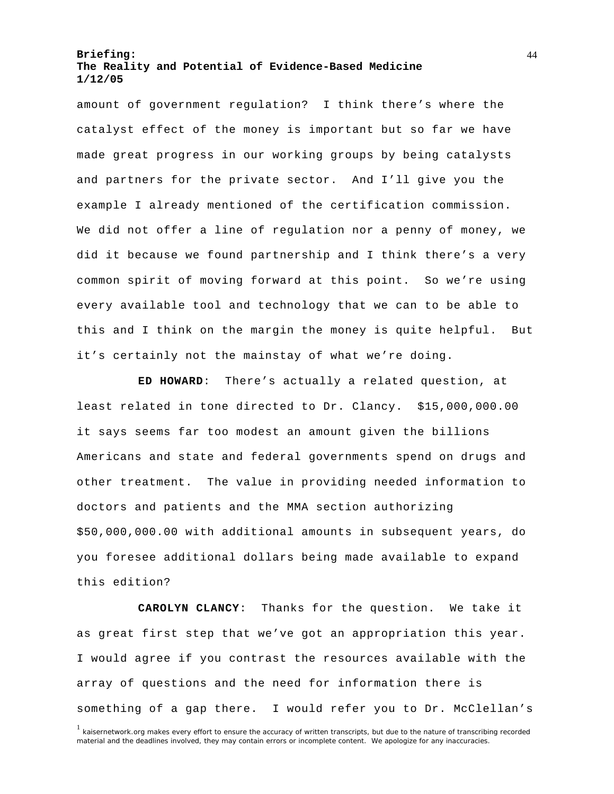amount of government regulation? I think there's where the catalyst effect of the money is important but so far we have made great progress in our working groups by being catalysts and partners for the private sector. And I'll give you the example I already mentioned of the certification commission. We did not offer a line of regulation nor a penny of money, we did it because we found partnership and I think there's a very common spirit of moving forward at this point. So we're using every available tool and technology that we can to be able to this and I think on the margin the money is quite helpful. But it's certainly not the mainstay of what we're doing.

**ED HOWARD**: There's actually a related question, at least related in tone directed to Dr. Clancy. \$15,000,000.00 it says seems far too modest an amount given the billions Americans and state and federal governments spend on drugs and other treatment. The value in providing needed information to doctors and patients and the MMA section authorizing \$50,000,000.00 with additional amounts in subsequent years, do you foresee additional dollars being made available to expand this edition?

**CAROLYN CLANCY**: Thanks for the question. We take it as great first step that we've got an appropriation this year. I would agree if you contrast the resources available with the array of questions and the need for information there is something of a gap there. I would refer you to Dr. McClellan's

<sup>&</sup>lt;sup>1</sup> kaisernetwork.org makes every effort to ensure the accuracy of written transcripts, but due to the nature of transcribing recorded material and the deadlines involved, they may contain errors or incomplete content. We apologize for any inaccuracies.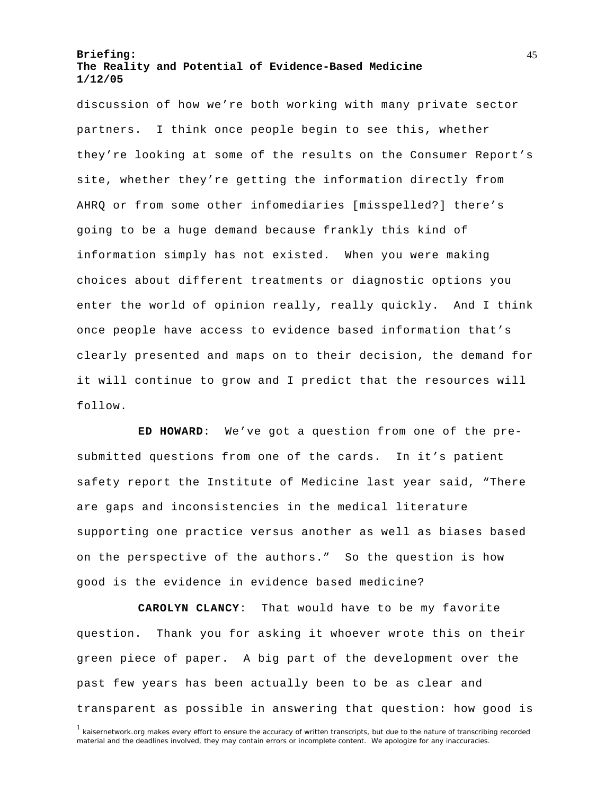discussion of how we're both working with many private sector partners. I think once people begin to see this, whether they're looking at some of the results on the Consumer Report's site, whether they're getting the information directly from AHRQ or from some other infomediaries [misspelled?] there's going to be a huge demand because frankly this kind of information simply has not existed. When you were making choices about different treatments or diagnostic options you enter the world of opinion really, really quickly. And I think once people have access to evidence based information that's clearly presented and maps on to their decision, the demand for it will continue to grow and I predict that the resources will follow.

**ED HOWARD**: We've got a question from one of the presubmitted questions from one of the cards. In it's patient safety report the Institute of Medicine last year said, "There are gaps and inconsistencies in the medical literature supporting one practice versus another as well as biases based on the perspective of the authors." So the question is how good is the evidence in evidence based medicine?

**CAROLYN CLANCY**: That would have to be my favorite question. Thank you for asking it whoever wrote this on their green piece of paper. A big part of the development over the past few years has been actually been to be as clear and transparent as possible in answering that question: how good is

<sup>&</sup>lt;sup>1</sup> kaisernetwork.org makes every effort to ensure the accuracy of written transcripts, but due to the nature of transcribing recorded material and the deadlines involved, they may contain errors or incomplete content. We apologize for any inaccuracies.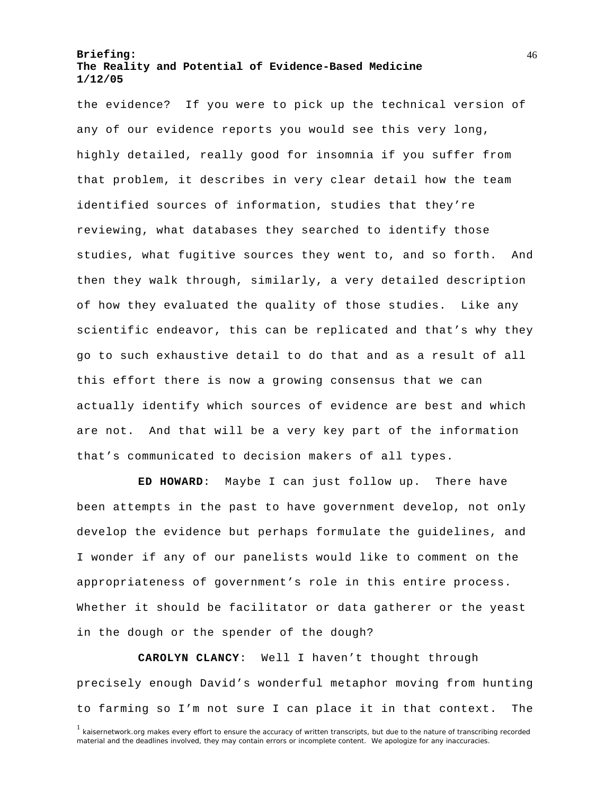the evidence? If you were to pick up the technical version of any of our evidence reports you would see this very long, highly detailed, really good for insomnia if you suffer from that problem, it describes in very clear detail how the team identified sources of information, studies that they're reviewing, what databases they searched to identify those studies, what fugitive sources they went to, and so forth. And then they walk through, similarly, a very detailed description of how they evaluated the quality of those studies. Like any scientific endeavor, this can be replicated and that's why they go to such exhaustive detail to do that and as a result of all this effort there is now a growing consensus that we can actually identify which sources of evidence are best and which are not. And that will be a very key part of the information that's communicated to decision makers of all types.

**ED HOWARD**: Maybe I can just follow up. There have been attempts in the past to have government develop, not only develop the evidence but perhaps formulate the guidelines, and I wonder if any of our panelists would like to comment on the appropriateness of government's role in this entire process. Whether it should be facilitator or data gatherer or the yeast in the dough or the spender of the dough?

**CAROLYN CLANCY**: Well I haven't thought through precisely enough David's wonderful metaphor moving from hunting to farming so I'm not sure I can place it in that context. The

<sup>&</sup>lt;sup>1</sup> kaisernetwork.org makes every effort to ensure the accuracy of written transcripts, but due to the nature of transcribing recorded material and the deadlines involved, they may contain errors or incomplete content. We apologize for any inaccuracies.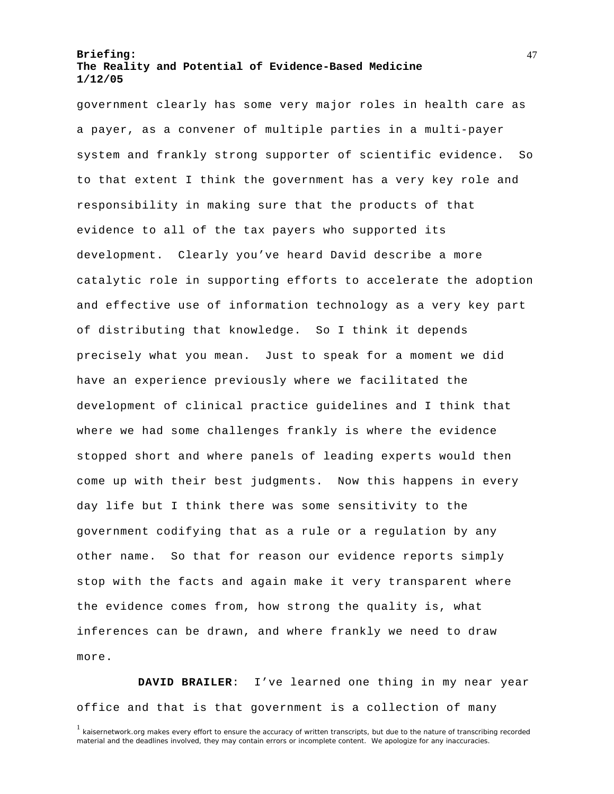government clearly has some very major roles in health care as a payer, as a convener of multiple parties in a multi-payer system and frankly strong supporter of scientific evidence. So to that extent I think the government has a very key role and responsibility in making sure that the products of that evidence to all of the tax payers who supported its development. Clearly you've heard David describe a more catalytic role in supporting efforts to accelerate the adoption and effective use of information technology as a very key part of distributing that knowledge. So I think it depends precisely what you mean. Just to speak for a moment we did have an experience previously where we facilitated the development of clinical practice guidelines and I think that where we had some challenges frankly is where the evidence stopped short and where panels of leading experts would then come up with their best judgments. Now this happens in every day life but I think there was some sensitivity to the government codifying that as a rule or a regulation by any other name. So that for reason our evidence reports simply stop with the facts and again make it very transparent where the evidence comes from, how strong the quality is, what inferences can be drawn, and where frankly we need to draw more.

**DAVID BRAILER**: I've learned one thing in my near year office and that is that government is a collection of many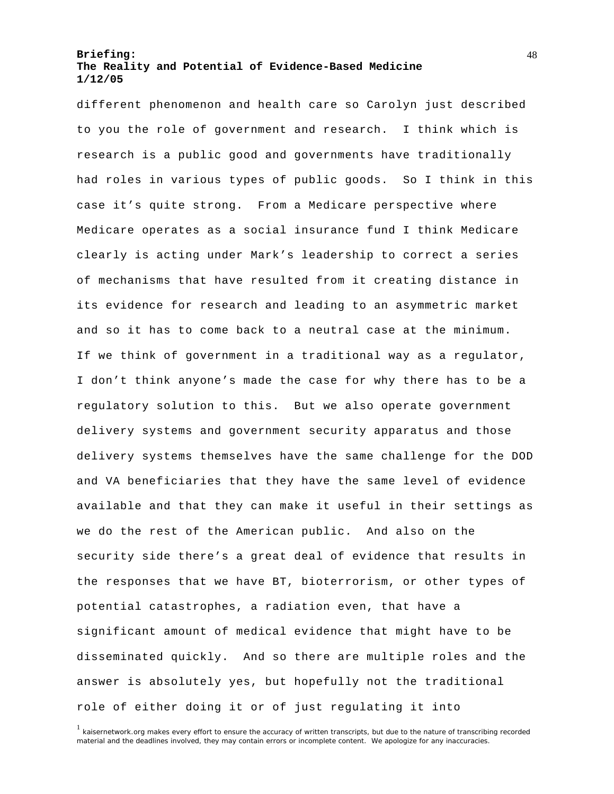different phenomenon and health care so Carolyn just described to you the role of government and research. I think which is research is a public good and governments have traditionally had roles in various types of public goods. So I think in this case it's quite strong. From a Medicare perspective where Medicare operates as a social insurance fund I think Medicare clearly is acting under Mark's leadership to correct a series of mechanisms that have resulted from it creating distance in its evidence for research and leading to an asymmetric market and so it has to come back to a neutral case at the minimum. If we think of government in a traditional way as a regulator, I don't think anyone's made the case for why there has to be a regulatory solution to this. But we also operate government delivery systems and government security apparatus and those delivery systems themselves have the same challenge for the DOD and VA beneficiaries that they have the same level of evidence available and that they can make it useful in their settings as we do the rest of the American public. And also on the security side there's a great deal of evidence that results in the responses that we have BT, bioterrorism, or other types of potential catastrophes, a radiation even, that have a significant amount of medical evidence that might have to be disseminated quickly. And so there are multiple roles and the answer is absolutely yes, but hopefully not the traditional role of either doing it or of just regulating it into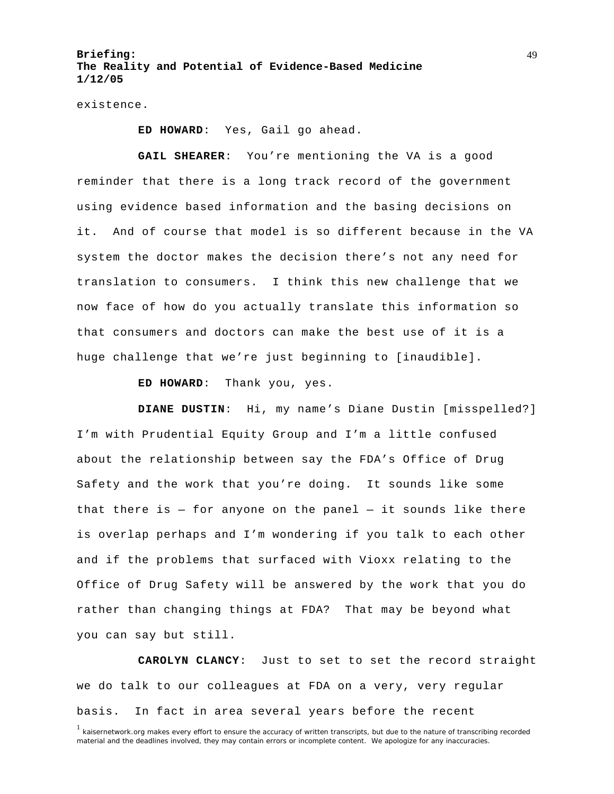existence.

**ED HOWARD**: Yes, Gail go ahead.

**GAIL SHEARER**: You're mentioning the VA is a good reminder that there is a long track record of the government using evidence based information and the basing decisions on it. And of course that model is so different because in the VA system the doctor makes the decision there's not any need for translation to consumers. I think this new challenge that we now face of how do you actually translate this information so that consumers and doctors can make the best use of it is a huge challenge that we're just beginning to [inaudible].

**ED HOWARD**: Thank you, yes.

**DIANE DUSTIN**: Hi, my name's Diane Dustin [misspelled?] I'm with Prudential Equity Group and I'm a little confused about the relationship between say the FDA's Office of Drug Safety and the work that you're doing. It sounds like some that there is  $-$  for anyone on the panel  $-$  it sounds like there is overlap perhaps and I'm wondering if you talk to each other and if the problems that surfaced with Vioxx relating to the Office of Drug Safety will be answered by the work that you do rather than changing things at FDA? That may be beyond what you can say but still.

**CAROLYN CLANCY**: Just to set to set the record straight we do talk to our colleagues at FDA on a very, very regular basis. In fact in area several years before the recent

<sup>&</sup>lt;sup>1</sup> kaisernetwork.org makes every effort to ensure the accuracy of written transcripts, but due to the nature of transcribing recorded material and the deadlines involved, they may contain errors or incomplete content. We apologize for any inaccuracies.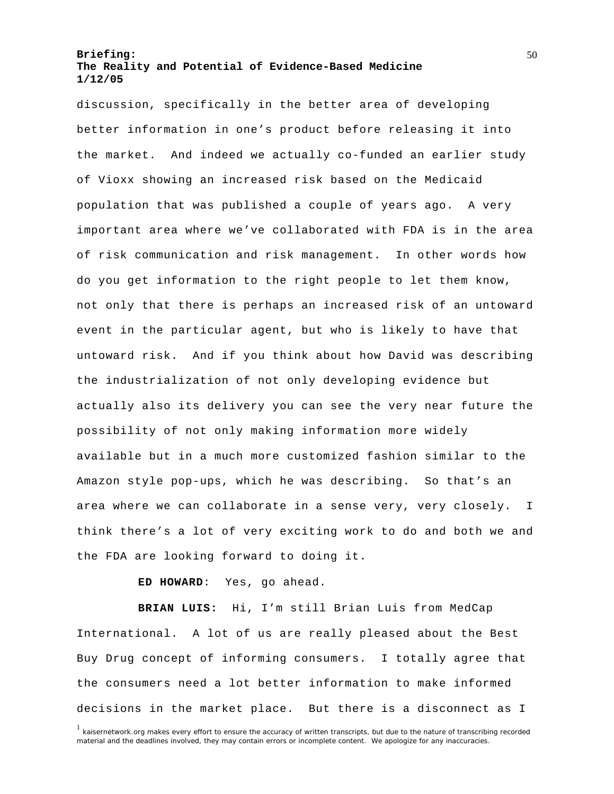discussion, specifically in the better area of developing better information in one's product before releasing it into the market. And indeed we actually co-funded an earlier study of Vioxx showing an increased risk based on the Medicaid population that was published a couple of years ago. A very important area where we've collaborated with FDA is in the area of risk communication and risk management. In other words how do you get information to the right people to let them know, not only that there is perhaps an increased risk of an untoward event in the particular agent, but who is likely to have that untoward risk. And if you think about how David was describing the industrialization of not only developing evidence but actually also its delivery you can see the very near future the possibility of not only making information more widely available but in a much more customized fashion similar to the Amazon style pop-ups, which he was describing. So that's an area where we can collaborate in a sense very, very closely. I think there's a lot of very exciting work to do and both we and the FDA are looking forward to doing it.

#### **ED HOWARD**: Yes, go ahead.

**BRIAN LUIS:** Hi, I'm still Brian Luis from MedCap International. A lot of us are really pleased about the Best Buy Drug concept of informing consumers. I totally agree that the consumers need a lot better information to make informed decisions in the market place. But there is a disconnect as I

<sup>&</sup>lt;sup>1</sup> kaisernetwork.org makes every effort to ensure the accuracy of written transcripts, but due to the nature of transcribing recorded material and the deadlines involved, they may contain errors or incomplete content. We apologize for any inaccuracies.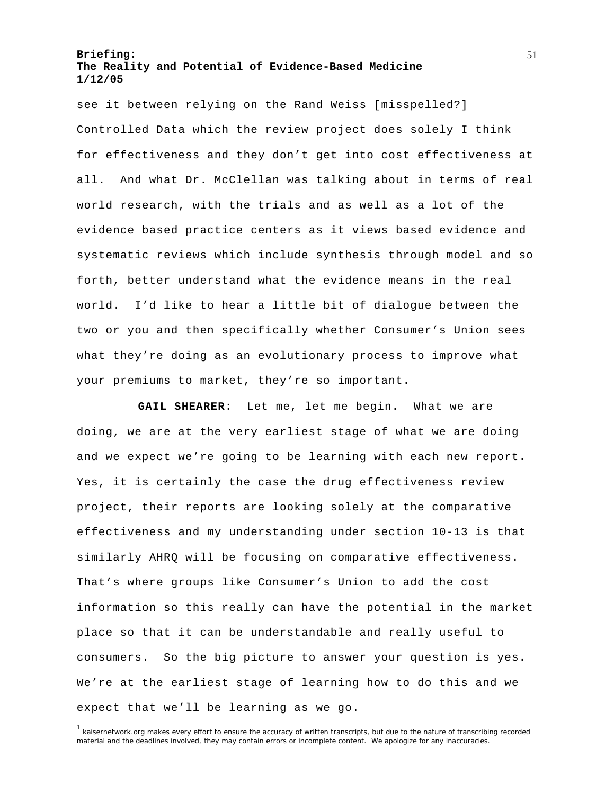see it between relying on the Rand Weiss [misspelled?] Controlled Data which the review project does solely I think for effectiveness and they don't get into cost effectiveness at all. And what Dr. McClellan was talking about in terms of real world research, with the trials and as well as a lot of the evidence based practice centers as it views based evidence and systematic reviews which include synthesis through model and so forth, better understand what the evidence means in the real world. I'd like to hear a little bit of dialogue between the two or you and then specifically whether Consumer's Union sees what they're doing as an evolutionary process to improve what your premiums to market, they're so important.

**GAIL SHEARER**: Let me, let me begin. What we are doing, we are at the very earliest stage of what we are doing and we expect we're going to be learning with each new report. Yes, it is certainly the case the drug effectiveness review project, their reports are looking solely at the comparative effectiveness and my understanding under section 10-13 is that similarly AHRQ will be focusing on comparative effectiveness. That's where groups like Consumer's Union to add the cost information so this really can have the potential in the market place so that it can be understandable and really useful to consumers. So the big picture to answer your question is yes. We're at the earliest stage of learning how to do this and we expect that we'll be learning as we go.

<sup>&</sup>lt;sup>1</sup> kaisernetwork.org makes every effort to ensure the accuracy of written transcripts, but due to the nature of transcribing recorded material and the deadlines involved, they may contain errors or incomplete content. We apologize for any inaccuracies.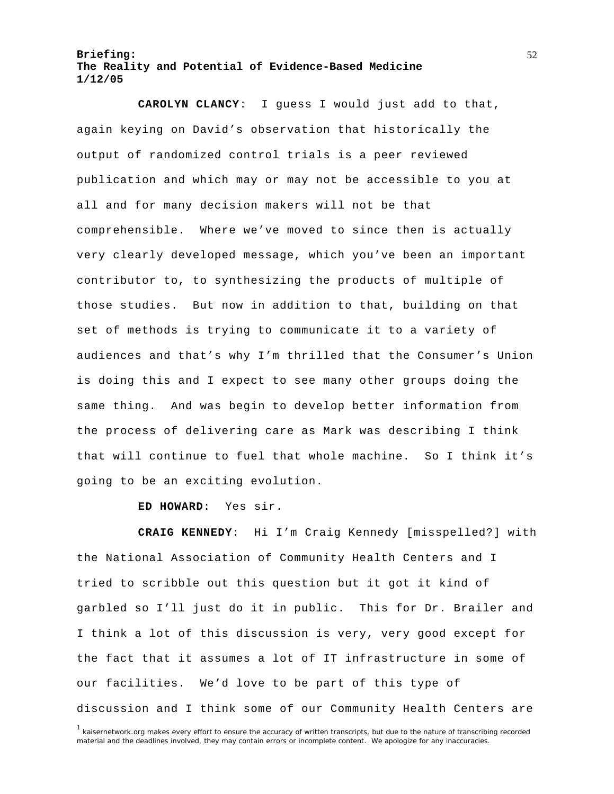**CAROLYN CLANCY**: I guess I would just add to that, again keying on David's observation that historically the output of randomized control trials is a peer reviewed publication and which may or may not be accessible to you at all and for many decision makers will not be that comprehensible. Where we've moved to since then is actually very clearly developed message, which you've been an important contributor to, to synthesizing the products of multiple of those studies. But now in addition to that, building on that set of methods is trying to communicate it to a variety of audiences and that's why I'm thrilled that the Consumer's Union is doing this and I expect to see many other groups doing the same thing. And was begin to develop better information from the process of delivering care as Mark was describing I think that will continue to fuel that whole machine. So I think it's going to be an exciting evolution.

**ED HOWARD**: Yes sir.

**CRAIG KENNEDY**: Hi I'm Craig Kennedy [misspelled?] with the National Association of Community Health Centers and I tried to scribble out this question but it got it kind of garbled so I'll just do it in public. This for Dr. Brailer and I think a lot of this discussion is very, very good except for the fact that it assumes a lot of IT infrastructure in some of our facilities. We'd love to be part of this type of discussion and I think some of our Community Health Centers are

<sup>&</sup>lt;sup>1</sup> kaisernetwork.org makes every effort to ensure the accuracy of written transcripts, but due to the nature of transcribing recorded material and the deadlines involved, they may contain errors or incomplete content. We apologize for any inaccuracies.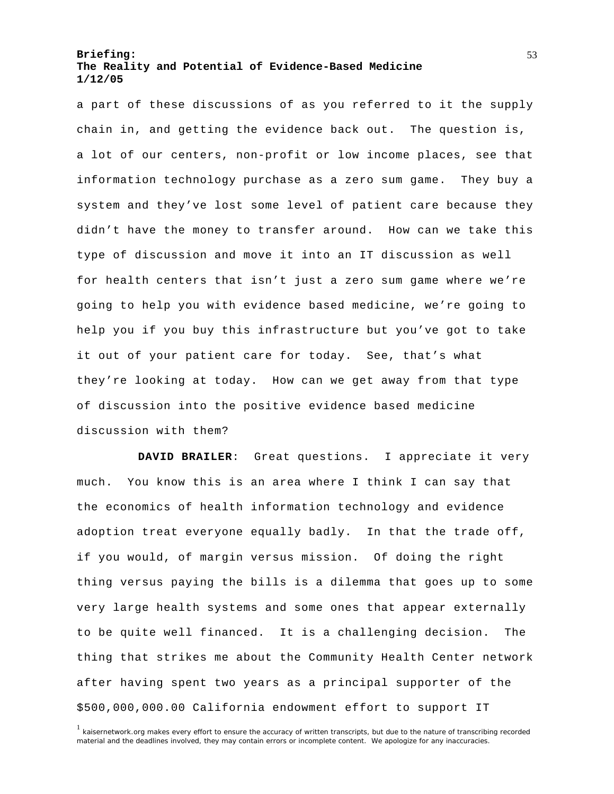a part of these discussions of as you referred to it the supply chain in, and getting the evidence back out. The question is, a lot of our centers, non-profit or low income places, see that information technology purchase as a zero sum game. They buy a system and they've lost some level of patient care because they didn't have the money to transfer around. How can we take this type of discussion and move it into an IT discussion as well for health centers that isn't just a zero sum game where we're going to help you with evidence based medicine, we're going to help you if you buy this infrastructure but you've got to take it out of your patient care for today. See, that's what they're looking at today. How can we get away from that type of discussion into the positive evidence based medicine discussion with them?

**DAVID BRAILER**: Great questions. I appreciate it very much. You know this is an area where I think I can say that the economics of health information technology and evidence adoption treat everyone equally badly. In that the trade off, if you would, of margin versus mission. Of doing the right thing versus paying the bills is a dilemma that goes up to some very large health systems and some ones that appear externally to be quite well financed. It is a challenging decision. The thing that strikes me about the Community Health Center network after having spent two years as a principal supporter of the \$500,000,000.00 California endowment effort to support IT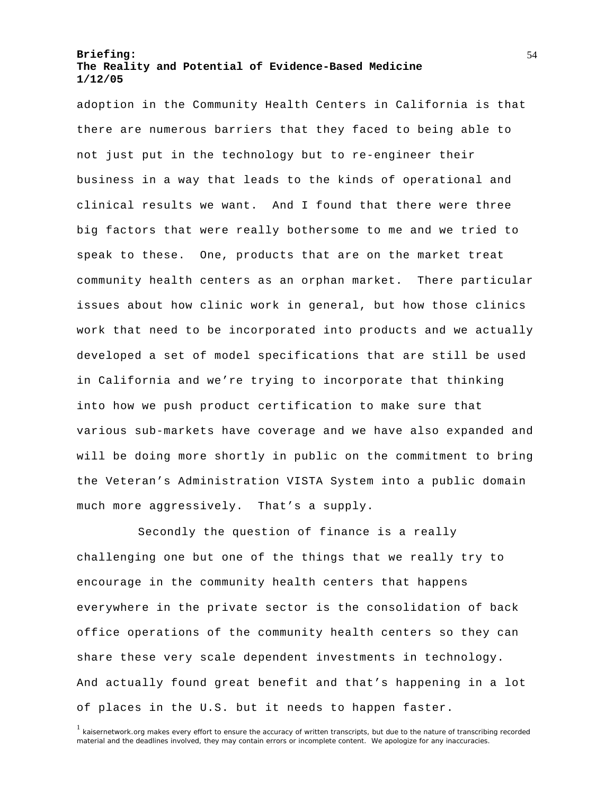adoption in the Community Health Centers in California is that there are numerous barriers that they faced to being able to not just put in the technology but to re-engineer their business in a way that leads to the kinds of operational and clinical results we want. And I found that there were three big factors that were really bothersome to me and we tried to speak to these. One, products that are on the market treat community health centers as an orphan market. There particular issues about how clinic work in general, but how those clinics work that need to be incorporated into products and we actually developed a set of model specifications that are still be used in California and we're trying to incorporate that thinking into how we push product certification to make sure that various sub-markets have coverage and we have also expanded and will be doing more shortly in public on the commitment to bring the Veteran's Administration VISTA System into a public domain much more aggressively. That's a supply.

Secondly the question of finance is a really challenging one but one of the things that we really try to encourage in the community health centers that happens everywhere in the private sector is the consolidation of back office operations of the community health centers so they can share these very scale dependent investments in technology. And actually found great benefit and that's happening in a lot of places in the U.S. but it needs to happen faster.

<sup>&</sup>lt;sup>1</sup> kaisernetwork.org makes every effort to ensure the accuracy of written transcripts, but due to the nature of transcribing recorded material and the deadlines involved, they may contain errors or incomplete content. We apologize for any inaccuracies.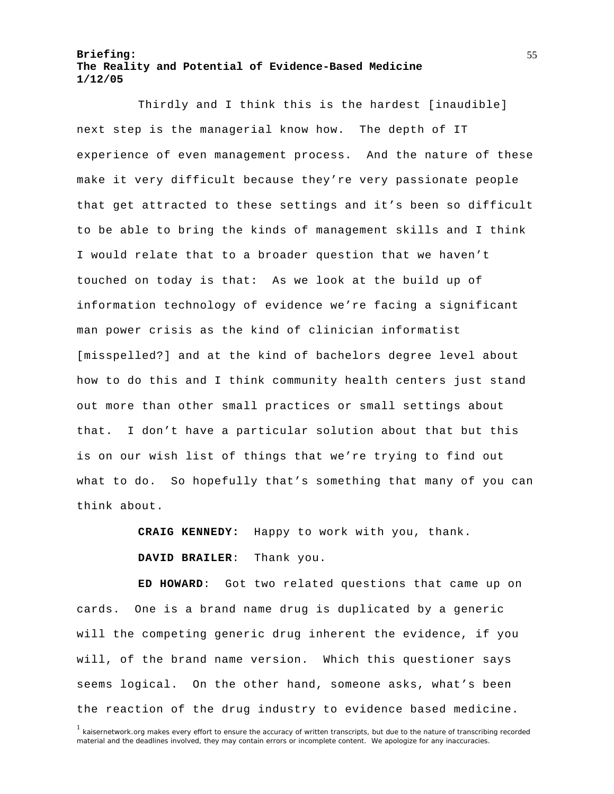Thirdly and I think this is the hardest [inaudible] next step is the managerial know how. The depth of IT experience of even management process. And the nature of these make it very difficult because they're very passionate people that get attracted to these settings and it's been so difficult to be able to bring the kinds of management skills and I think I would relate that to a broader question that we haven't touched on today is that: As we look at the build up of information technology of evidence we're facing a significant man power crisis as the kind of clinician informatist [misspelled?] and at the kind of bachelors degree level about how to do this and I think community health centers just stand out more than other small practices or small settings about that. I don't have a particular solution about that but this is on our wish list of things that we're trying to find out what to do. So hopefully that's something that many of you can think about.

**CRAIG KENNEDY:** Happy to work with you, thank.

**DAVID BRAILER**: Thank you.

**ED HOWARD**: Got two related questions that came up on cards. One is a brand name drug is duplicated by a generic will the competing generic drug inherent the evidence, if you will, of the brand name version. Which this questioner says seems logical. On the other hand, someone asks, what's been the reaction of the drug industry to evidence based medicine.

<sup>&</sup>lt;sup>1</sup> kaisernetwork.org makes every effort to ensure the accuracy of written transcripts, but due to the nature of transcribing recorded material and the deadlines involved, they may contain errors or incomplete content. We apologize for any inaccuracies.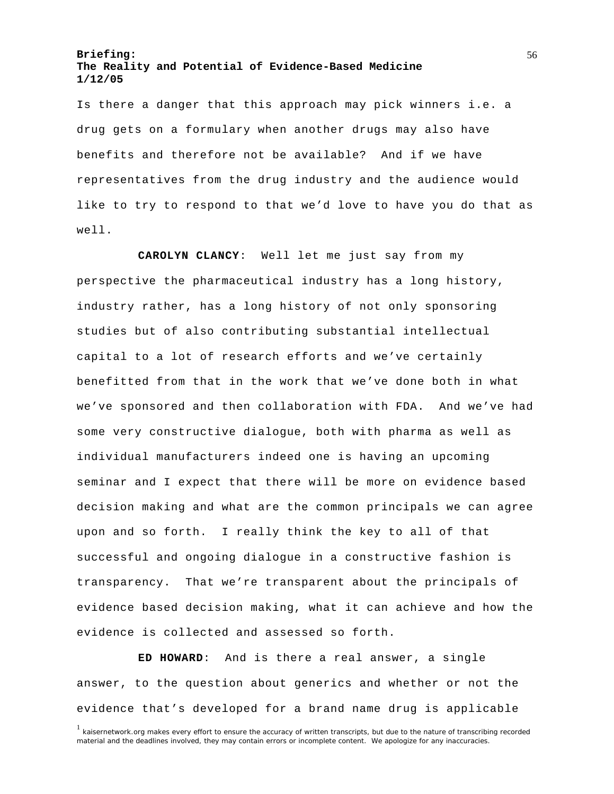Is there a danger that this approach may pick winners i.e. a drug gets on a formulary when another drugs may also have benefits and therefore not be available? And if we have representatives from the drug industry and the audience would like to try to respond to that we'd love to have you do that as well.

**CAROLYN CLANCY**: Well let me just say from my perspective the pharmaceutical industry has a long history, industry rather, has a long history of not only sponsoring studies but of also contributing substantial intellectual capital to a lot of research efforts and we've certainly benefitted from that in the work that we've done both in what we've sponsored and then collaboration with FDA. And we've had some very constructive dialogue, both with pharma as well as individual manufacturers indeed one is having an upcoming seminar and I expect that there will be more on evidence based decision making and what are the common principals we can agree upon and so forth. I really think the key to all of that successful and ongoing dialogue in a constructive fashion is transparency. That we're transparent about the principals of evidence based decision making, what it can achieve and how the evidence is collected and assessed so forth.

**ED HOWARD**: And is there a real answer, a single answer, to the question about generics and whether or not the evidence that's developed for a brand name drug is applicable

<sup>&</sup>lt;sup>1</sup> kaisernetwork.org makes every effort to ensure the accuracy of written transcripts, but due to the nature of transcribing recorded material and the deadlines involved, they may contain errors or incomplete content. We apologize for any inaccuracies.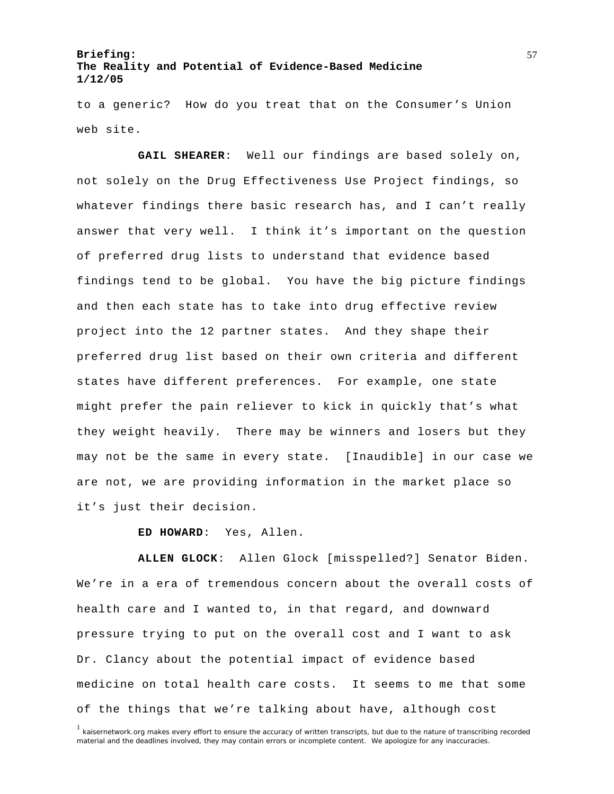to a generic? How do you treat that on the Consumer's Union web site.

**GAIL SHEARER**: Well our findings are based solely on, not solely on the Drug Effectiveness Use Project findings, so whatever findings there basic research has, and I can't really answer that very well. I think it's important on the question of preferred drug lists to understand that evidence based findings tend to be global. You have the big picture findings and then each state has to take into drug effective review project into the 12 partner states. And they shape their preferred drug list based on their own criteria and different states have different preferences. For example, one state might prefer the pain reliever to kick in quickly that's what they weight heavily. There may be winners and losers but they may not be the same in every state. [Inaudible] in our case we are not, we are providing information in the market place so it's just their decision.

**ED HOWARD**: Yes, Allen.

**ALLEN GLOCK**: Allen Glock [misspelled?] Senator Biden. We're in a era of tremendous concern about the overall costs of health care and I wanted to, in that regard, and downward pressure trying to put on the overall cost and I want to ask Dr. Clancy about the potential impact of evidence based medicine on total health care costs. It seems to me that some of the things that we're talking about have, although cost

<sup>&</sup>lt;sup>1</sup> kaisernetwork.org makes every effort to ensure the accuracy of written transcripts, but due to the nature of transcribing recorded material and the deadlines involved, they may contain errors or incomplete content. We apologize for any inaccuracies.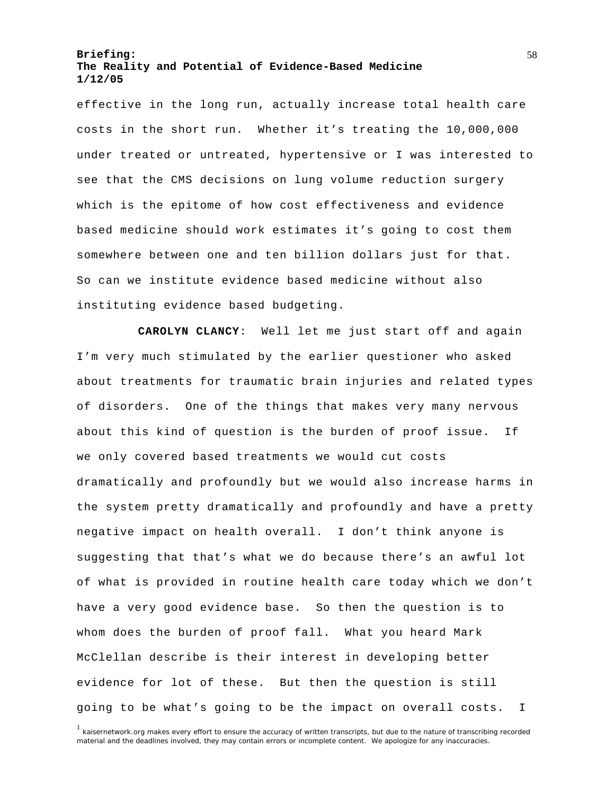effective in the long run, actually increase total health care costs in the short run. Whether it's treating the 10,000,000 under treated or untreated, hypertensive or I was interested to see that the CMS decisions on lung volume reduction surgery which is the epitome of how cost effectiveness and evidence based medicine should work estimates it's going to cost them somewhere between one and ten billion dollars just for that. So can we institute evidence based medicine without also instituting evidence based budgeting.

**CAROLYN CLANCY**: Well let me just start off and again I'm very much stimulated by the earlier questioner who asked about treatments for traumatic brain injuries and related types of disorders. One of the things that makes very many nervous about this kind of question is the burden of proof issue. If we only covered based treatments we would cut costs dramatically and profoundly but we would also increase harms in the system pretty dramatically and profoundly and have a pretty negative impact on health overall. I don't think anyone is suggesting that that's what we do because there's an awful lot of what is provided in routine health care today which we don't have a very good evidence base. So then the question is to whom does the burden of proof fall. What you heard Mark McClellan describe is their interest in developing better evidence for lot of these. But then the question is still going to be what's going to be the impact on overall costs. I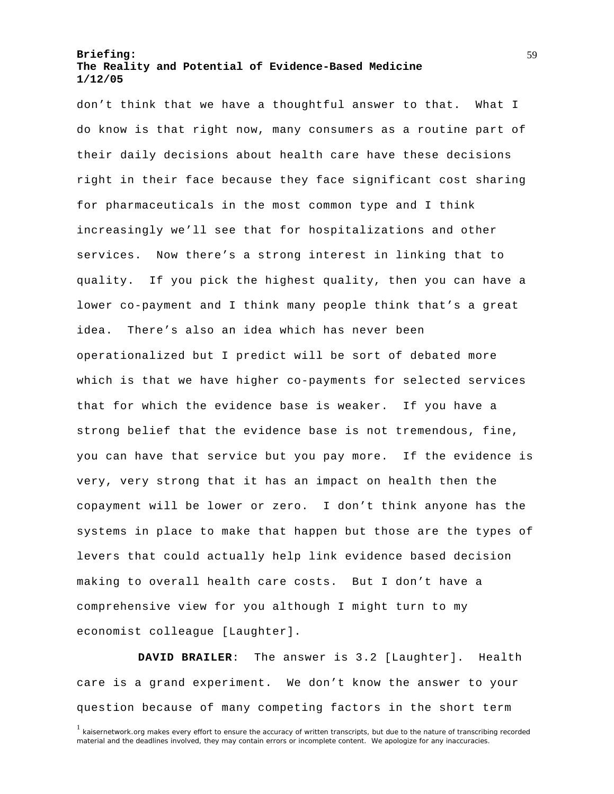don't think that we have a thoughtful answer to that. What I do know is that right now, many consumers as a routine part of their daily decisions about health care have these decisions right in their face because they face significant cost sharing for pharmaceuticals in the most common type and I think increasingly we'll see that for hospitalizations and other services. Now there's a strong interest in linking that to quality. If you pick the highest quality, then you can have a lower co-payment and I think many people think that's a great idea. There's also an idea which has never been operationalized but I predict will be sort of debated more which is that we have higher co-payments for selected services that for which the evidence base is weaker. If you have a strong belief that the evidence base is not tremendous, fine, you can have that service but you pay more. If the evidence is very, very strong that it has an impact on health then the copayment will be lower or zero. I don't think anyone has the systems in place to make that happen but those are the types of levers that could actually help link evidence based decision making to overall health care costs. But I don't have a comprehensive view for you although I might turn to my economist colleague [Laughter].

**DAVID BRAILER**: The answer is 3.2 [Laughter]. Health care is a grand experiment. We don't know the answer to your question because of many competing factors in the short term

<sup>&</sup>lt;sup>1</sup> kaisernetwork.org makes every effort to ensure the accuracy of written transcripts, but due to the nature of transcribing recorded material and the deadlines involved, they may contain errors or incomplete content. We apologize for any inaccuracies.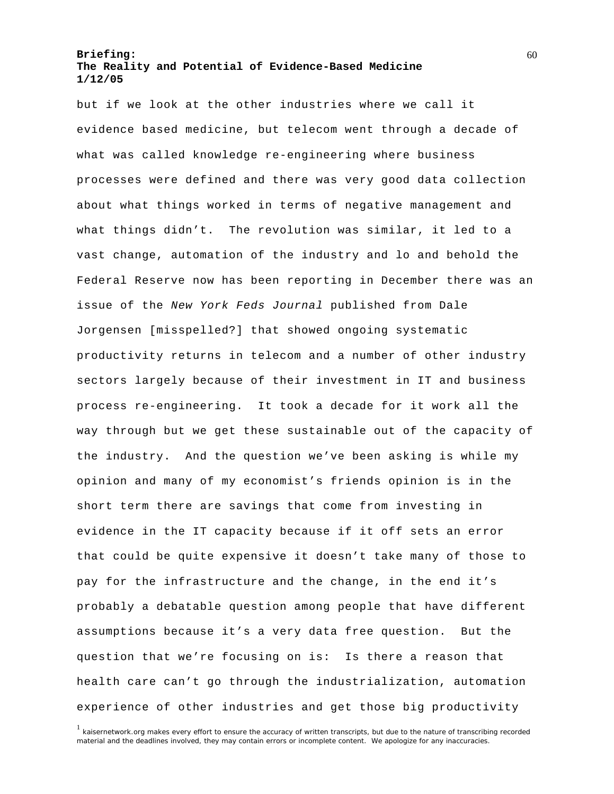but if we look at the other industries where we call it evidence based medicine, but telecom went through a decade of what was called knowledge re-engineering where business processes were defined and there was very good data collection about what things worked in terms of negative management and what things didn't. The revolution was similar, it led to a vast change, automation of the industry and lo and behold the Federal Reserve now has been reporting in December there was an issue of the *New York Feds Journal* published from Dale Jorgensen [misspelled?] that showed ongoing systematic productivity returns in telecom and a number of other industry sectors largely because of their investment in IT and business process re-engineering. It took a decade for it work all the way through but we get these sustainable out of the capacity of the industry. And the question we've been asking is while my opinion and many of my economist's friends opinion is in the short term there are savings that come from investing in evidence in the IT capacity because if it off sets an error that could be quite expensive it doesn't take many of those to pay for the infrastructure and the change, in the end it's probably a debatable question among people that have different assumptions because it's a very data free question. But the question that we're focusing on is: Is there a reason that health care can't go through the industrialization, automation experience of other industries and get those big productivity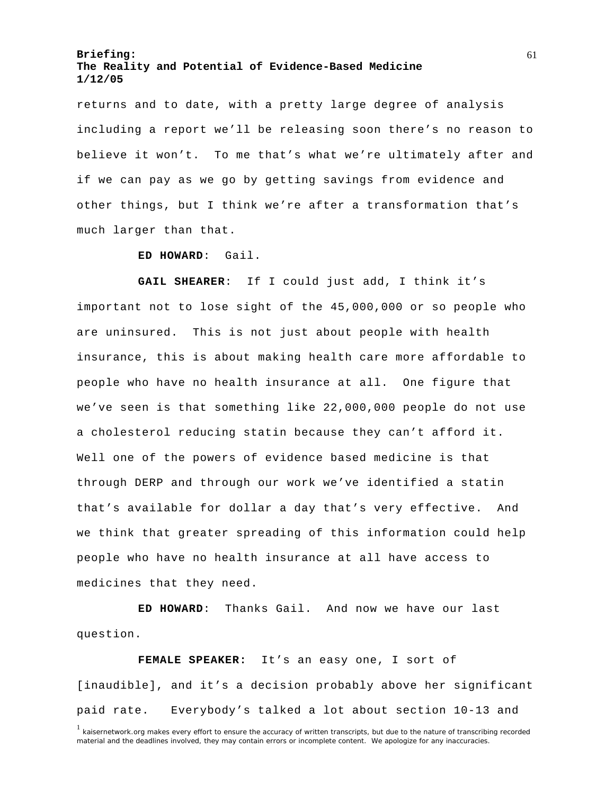returns and to date, with a pretty large degree of analysis including a report we'll be releasing soon there's no reason to believe it won't. To me that's what we're ultimately after and if we can pay as we go by getting savings from evidence and other things, but I think we're after a transformation that's much larger than that.

#### **ED HOWARD**: Gail.

**GAIL SHEARER**: If I could just add, I think it's important not to lose sight of the 45,000,000 or so people who are uninsured. This is not just about people with health insurance, this is about making health care more affordable to people who have no health insurance at all. One figure that we've seen is that something like 22,000,000 people do not use a cholesterol reducing statin because they can't afford it. Well one of the powers of evidence based medicine is that through DERP and through our work we've identified a statin that's available for dollar a day that's very effective. And we think that greater spreading of this information could help people who have no health insurance at all have access to medicines that they need.

**ED HOWARD**: Thanks Gail. And now we have our last question.

**FEMALE SPEAKER:** It's an easy one, I sort of [inaudible], and it's a decision probably above her significant paid rate. Everybody's talked a lot about section 10-13 and

<sup>&</sup>lt;sup>1</sup> kaisernetwork.org makes every effort to ensure the accuracy of written transcripts, but due to the nature of transcribing recorded material and the deadlines involved, they may contain errors or incomplete content. We apologize for any inaccuracies.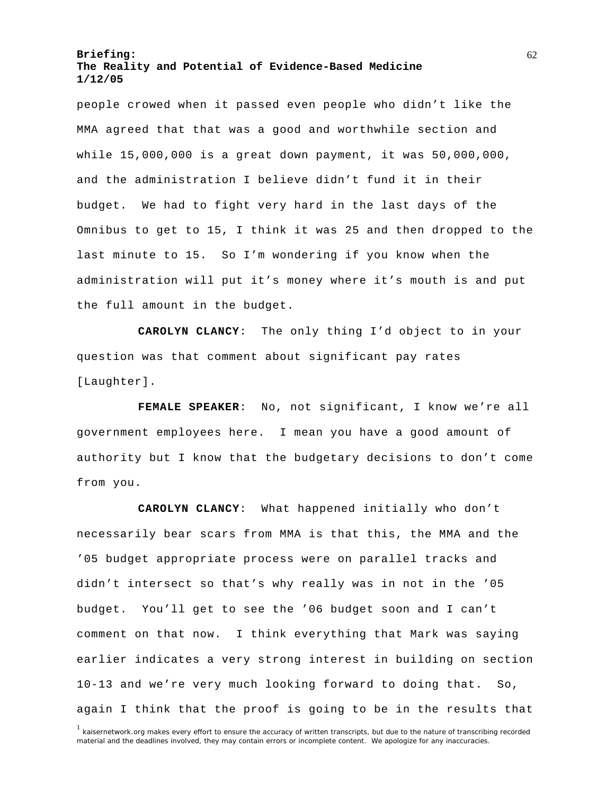people crowed when it passed even people who didn't like the MMA agreed that that was a good and worthwhile section and while 15,000,000 is a great down payment, it was 50,000,000, and the administration I believe didn't fund it in their budget. We had to fight very hard in the last days of the Omnibus to get to 15, I think it was 25 and then dropped to the last minute to 15. So I'm wondering if you know when the administration will put it's money where it's mouth is and put the full amount in the budget.

**CAROLYN CLANCY**: The only thing I'd object to in your question was that comment about significant pay rates [Laughter].

**FEMALE SPEAKER**: No, not significant, I know we're all government employees here. I mean you have a good amount of authority but I know that the budgetary decisions to don't come from you.

**CAROLYN CLANCY**: What happened initially who don't necessarily bear scars from MMA is that this, the MMA and the '05 budget appropriate process were on parallel tracks and didn't intersect so that's why really was in not in the '05 budget. You'll get to see the '06 budget soon and I can't comment on that now. I think everything that Mark was saying earlier indicates a very strong interest in building on section 10-13 and we're very much looking forward to doing that. So, again I think that the proof is going to be in the results that